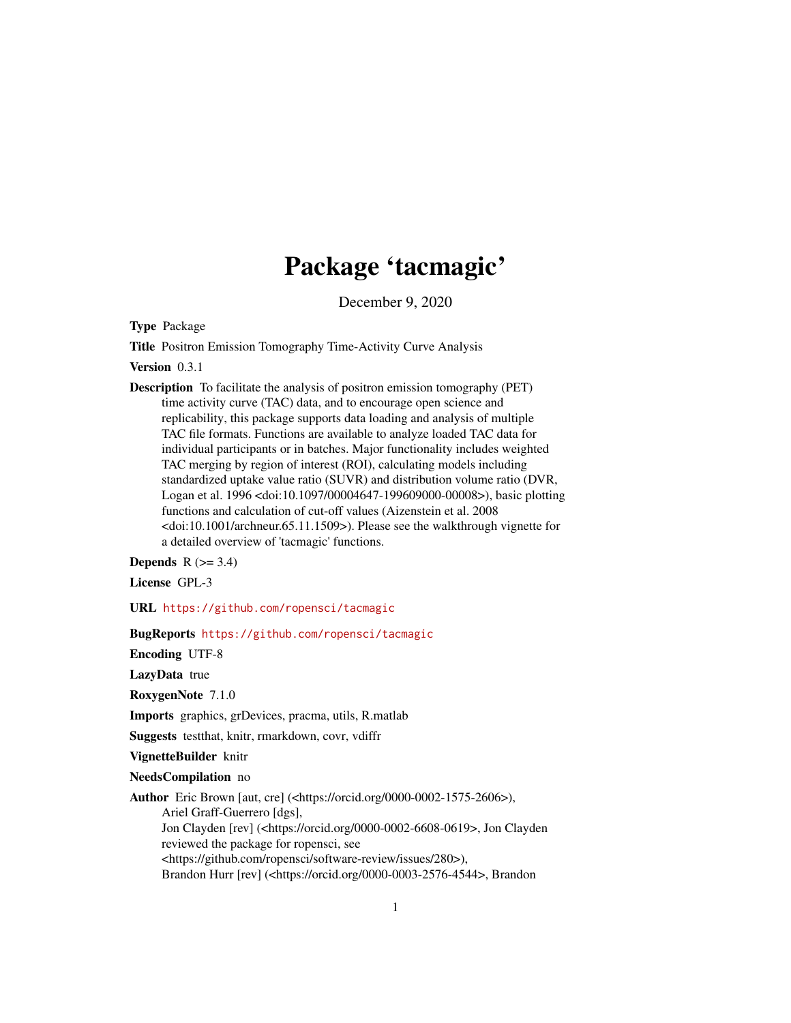# Package 'tacmagic'

December 9, 2020

Type Package

Title Positron Emission Tomography Time-Activity Curve Analysis

Version 0.3.1

Description To facilitate the analysis of positron emission tomography (PET) time activity curve (TAC) data, and to encourage open science and replicability, this package supports data loading and analysis of multiple TAC file formats. Functions are available to analyze loaded TAC data for individual participants or in batches. Major functionality includes weighted TAC merging by region of interest (ROI), calculating models including standardized uptake value ratio (SUVR) and distribution volume ratio (DVR, Logan et al. 1996 <doi:10.1097/00004647-199609000-00008>), basic plotting functions and calculation of cut-off values (Aizenstein et al. 2008 <doi:10.1001/archneur.65.11.1509>). Please see the walkthrough vignette for a detailed overview of 'tacmagic' functions.

**Depends**  $R$  ( $>= 3.4$ )

License GPL-3

URL <https://github.com/ropensci/tacmagic>

BugReports <https://github.com/ropensci/tacmagic>

Encoding UTF-8

LazyData true

RoxygenNote 7.1.0

Imports graphics, grDevices, pracma, utils, R.matlab

Suggests testthat, knitr, rmarkdown, covr, vdiffr

VignetteBuilder knitr

NeedsCompilation no

Author Eric Brown [aut, cre] (<https://orcid.org/0000-0002-1575-2606>), Ariel Graff-Guerrero [dgs], Jon Clayden [rev] (<https://orcid.org/0000-0002-6608-0619>, Jon Clayden reviewed the package for ropensci, see <https://github.com/ropensci/software-review/issues/280>), Brandon Hurr [rev] (<https://orcid.org/0000-0003-2576-4544>, Brandon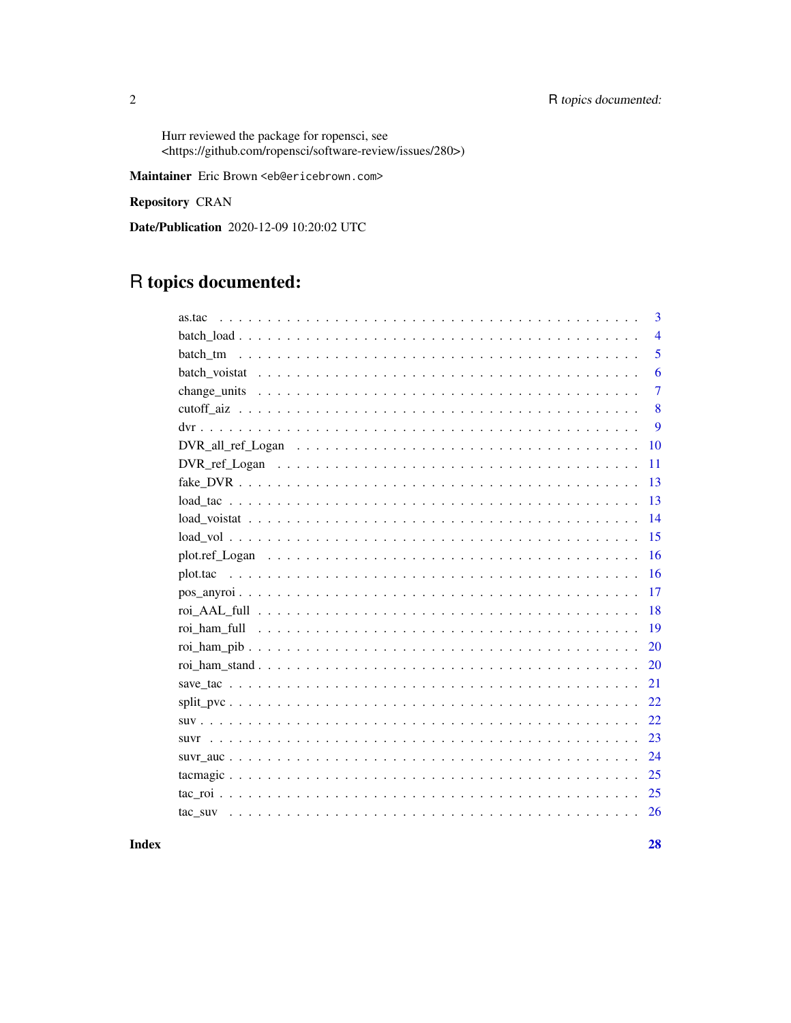Hurr reviewed the package for ropensci, see <https://github.com/ropensci/software-review/issues/280>)

Maintainer Eric Brown <eb@ericebrown.com>

Repository CRAN

Date/Publication 2020-12-09 10:20:02 UTC

# R topics documented:

| as.tac | 3              |
|--------|----------------|
|        | $\overline{4}$ |
|        | 5              |
|        | 6              |
|        | $\overline{7}$ |
|        | 8              |
|        | 9              |
| 10     |                |
| 11     |                |
| 13     |                |
| 13     |                |
| 14     |                |
| 15     |                |
| 16     |                |
| 16     |                |
| 17     |                |
| 18     |                |
| 19     |                |
| 20     |                |
| 20     |                |
| 21     |                |
| 22     |                |
| 22     |                |
| 23     |                |
| 24     |                |
| 25     |                |
| 25     |                |
| 26     |                |
|        |                |

# **Index**

 $\overline{2}$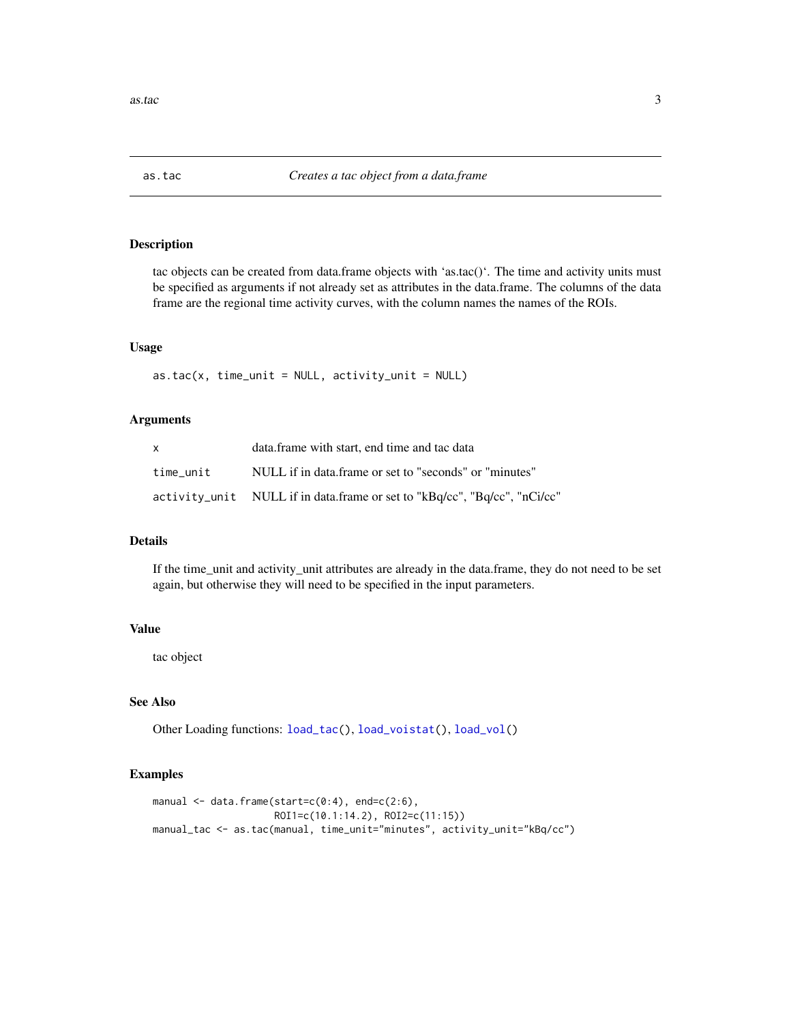<span id="page-2-1"></span><span id="page-2-0"></span>

tac objects can be created from data.frame objects with 'as.tac()'. The time and activity units must be specified as arguments if not already set as attributes in the data.frame. The columns of the data frame are the regional time activity curves, with the column names the names of the ROIs.

### Usage

 $as.tac(x, time\_unit = NULL, activity\_unit = NULL)$ 

# Arguments

|           | data.frame with start, end time and tac data                                 |
|-----------|------------------------------------------------------------------------------|
| time unit | NULL if in data.frame or set to "seconds" or "minutes"                       |
|           | activity_unit    NULL if in data.frame or set to "kBq/cc", "Bq/cc", "nCi/cc" |

# Details

If the time\_unit and activity\_unit attributes are already in the data.frame, they do not need to be set again, but otherwise they will need to be specified in the input parameters.

# Value

tac object

# See Also

Other Loading functions: [load\\_tac\(](#page-12-1)), [load\\_voistat\(](#page-13-1)), [load\\_vol\(](#page-14-1))

# Examples

```
manual \leq data.frame(start=c(0:4), end=c(2:6),
                     ROI1=c(10.1:14.2), ROI2=c(11:15))
manual_tac <- as.tac(manual, time_unit="minutes", activity_unit="kBq/cc")
```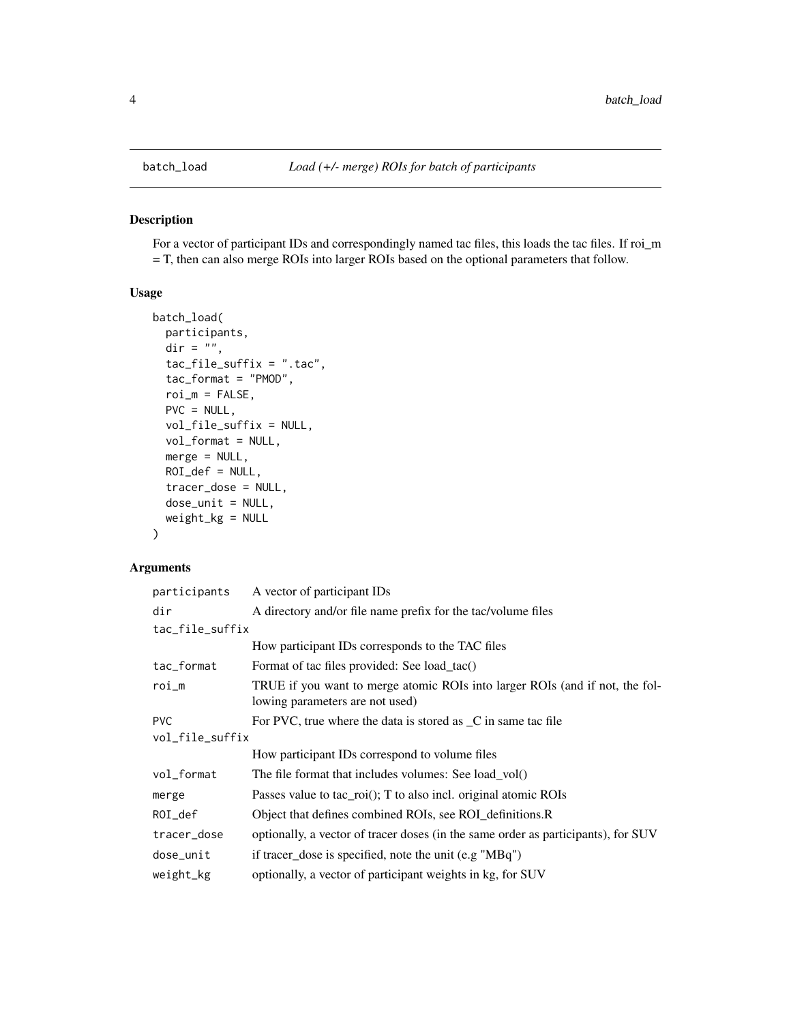<span id="page-3-1"></span><span id="page-3-0"></span>

For a vector of participant IDs and correspondingly named tac files, this loads the tac files. If roi\_m = T, then can also merge ROIs into larger ROIs based on the optional parameters that follow.

# Usage

```
batch_load(
  participants,
  \text{dir} = \sqrt{\phantom{a}^n},tac_file_suffix = ".tac",
  tac_format = "PMOD",
  roi_m = FALSE,PVC = NULL,vol_file_suffix = NULL,
  vol_format = NULL,
  merge = NULL,
  ROI\_def = NULL,tracer_dose = NULL,
  dose_unit = NULL,
  weight_kg = NULL
)
```
# Arguments

| participants    | A vector of participant IDs                                                                                     |  |
|-----------------|-----------------------------------------------------------------------------------------------------------------|--|
| dir             | A directory and/or file name prefix for the tac/volume files                                                    |  |
| tac_file_suffix |                                                                                                                 |  |
|                 | How participant IDs corresponds to the TAC files                                                                |  |
| tac_format      | Format of tac files provided: See load_tac()                                                                    |  |
| $roi_m$         | TRUE if you want to merge atomic ROIs into larger ROIs (and if not, the fol-<br>lowing parameters are not used) |  |
| <b>PVC</b>      | For PVC, true where the data is stored as _C in same tac file                                                   |  |
| vol_file_suffix |                                                                                                                 |  |
|                 | How participant IDs correspond to volume files                                                                  |  |
| vol_format      | The file format that includes volumes: See load_vol()                                                           |  |
| merge           | Passes value to tac $\text{roi}()$ ; T to also incl. original atomic ROIs                                       |  |
| $ROI_d$         | Object that defines combined ROIs, see ROI_definitions.R                                                        |  |
| tracer_dose     | optionally, a vector of tracer doses (in the same order as participants), for SUV                               |  |
| dose_unit       | if tracer_dose is specified, note the unit (e.g "MBq")                                                          |  |
| weight_kg       | optionally, a vector of participant weights in kg, for SUV                                                      |  |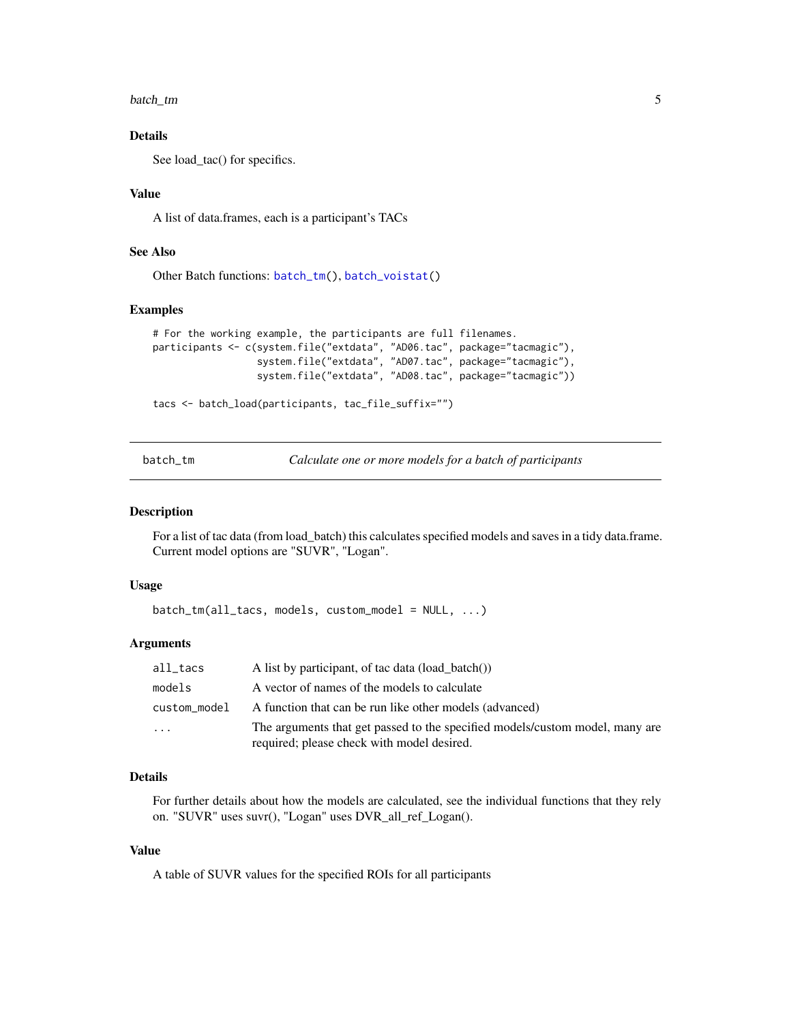<span id="page-4-0"></span>batch\_tm 5

# Details

See load\_tac() for specifics.

# Value

A list of data.frames, each is a participant's TACs

# See Also

Other Batch functions: [batch\\_tm\(](#page-4-1)), [batch\\_voistat\(](#page-5-1))

#### Examples

```
# For the working example, the participants are full filenames.
participants <- c(system.file("extdata", "AD06.tac", package="tacmagic"),
                  system.file("extdata", "AD07.tac", package="tacmagic"),
                  system.file("extdata", "AD08.tac", package="tacmagic"))
```

```
tacs <- batch_load(participants, tac_file_suffix="")
```
<span id="page-4-1"></span>batch\_tm *Calculate one or more models for a batch of participants*

# Description

For a list of tac data (from load\_batch) this calculates specified models and saves in a tidy data.frame. Current model options are "SUVR", "Logan".

# Usage

batch\_tm(all\_tacs, models, custom\_model = NULL, ...)

## Arguments

| all_tacs     | A list by participant, of tac data (load batch())                                                                          |
|--------------|----------------------------------------------------------------------------------------------------------------------------|
| models       | A vector of names of the models to calculate                                                                               |
| custom model | A function that can be run like other models (advanced)                                                                    |
| $\ddots$     | The arguments that get passed to the specified models/custom model, many are<br>required; please check with model desired. |

# Details

For further details about how the models are calculated, see the individual functions that they rely on. "SUVR" uses suvr(), "Logan" uses DVR\_all\_ref\_Logan().

# Value

A table of SUVR values for the specified ROIs for all participants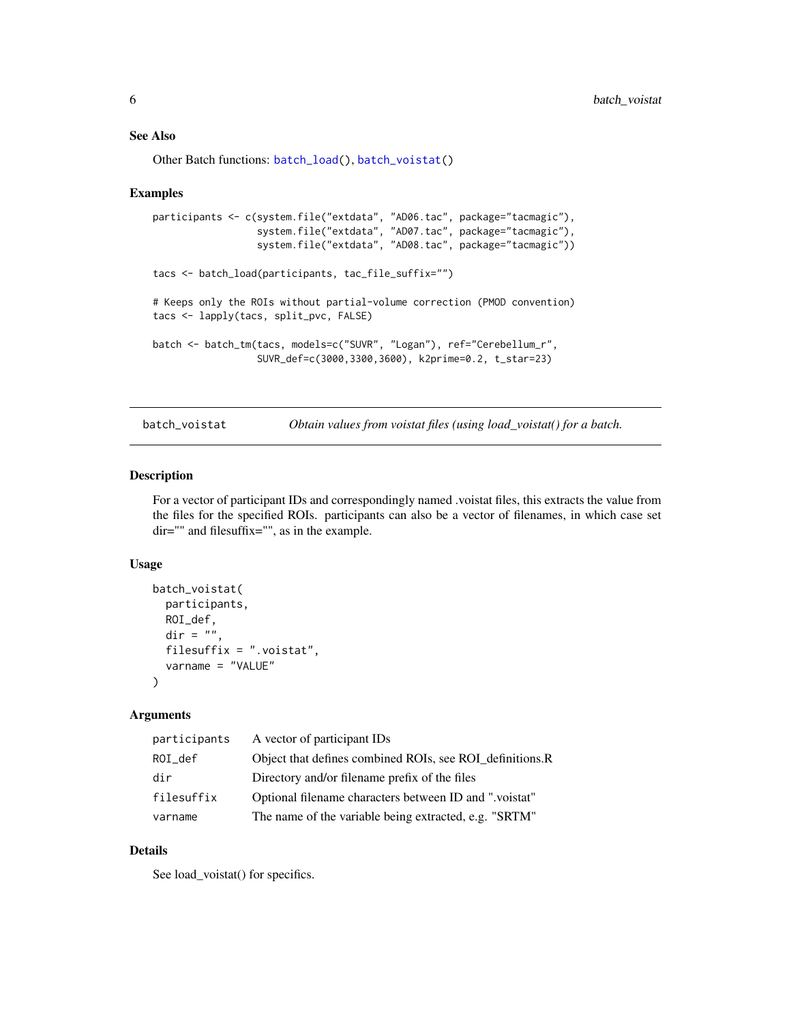#### <span id="page-5-0"></span>See Also

Other Batch functions: [batch\\_load\(](#page-3-1)), [batch\\_voistat\(](#page-5-1))

#### Examples

```
participants <- c(system.file("extdata", "AD06.tac", package="tacmagic"),
                  system.file("extdata", "AD07.tac", package="tacmagic"),
                  system.file("extdata", "AD08.tac", package="tacmagic"))
tacs <- batch_load(participants, tac_file_suffix="")
# Keeps only the ROIs without partial-volume correction (PMOD convention)
tacs <- lapply(tacs, split_pvc, FALSE)
batch <- batch_tm(tacs, models=c("SUVR", "Logan"), ref="Cerebellum_r",
                  SUVR_def=c(3000,3300,3600), k2prime=0.2, t_star=23)
```
<span id="page-5-1"></span>batch\_voistat *Obtain values from voistat files (using load\_voistat() for a batch.*

# Description

For a vector of participant IDs and correspondingly named .voistat files, this extracts the value from the files for the specified ROIs. participants can also be a vector of filenames, in which case set dir="" and filesuffix="", as in the example.

#### Usage

```
batch_voistat(
  participants,
 ROI_def,
  dir = "".filesuffix = ".voistat",
  varname = "VALUE"
)
```
#### Arguments

| participants | A vector of participant IDs                              |
|--------------|----------------------------------------------------------|
| ROI def      | Object that defines combined ROIs, see ROI definitions.R |
| dir          | Directory and/or filename prefix of the files            |
| filesuffix   | Optional filename characters between ID and "voistat"    |
| varname      | The name of the variable being extracted, e.g. "SRTM"    |

# Details

See load\_voistat() for specifics.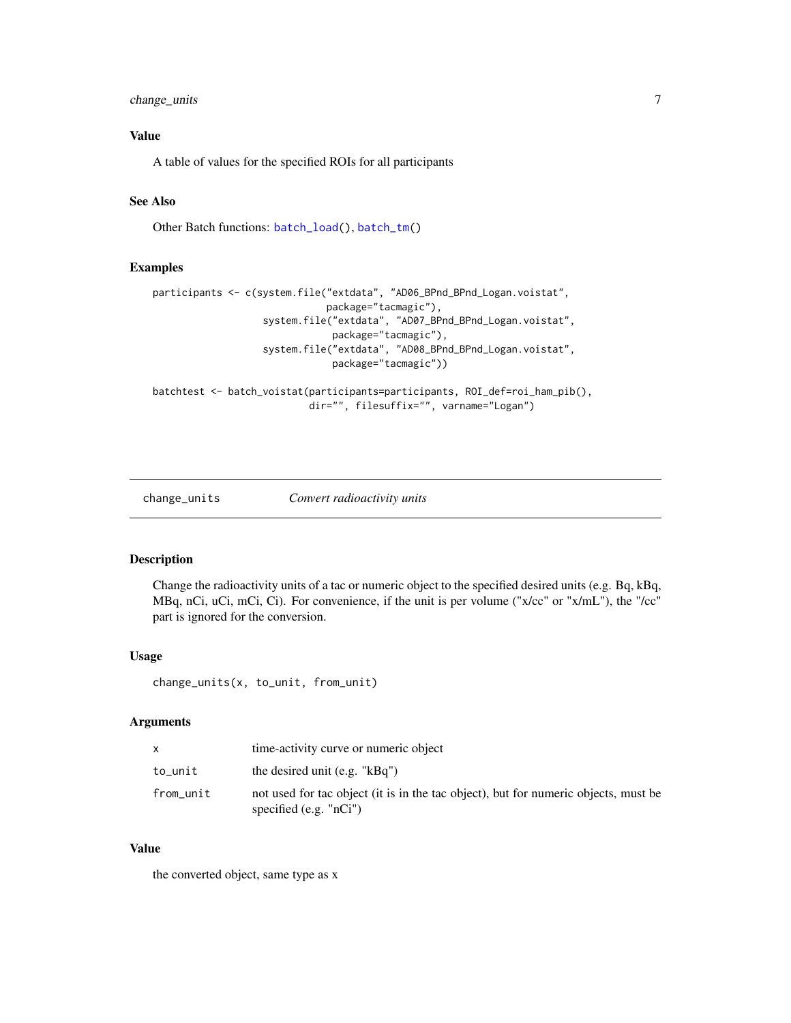# <span id="page-6-0"></span>change\_units 7

# Value

A table of values for the specified ROIs for all participants

# See Also

Other Batch functions: [batch\\_load\(](#page-3-1)), [batch\\_tm\(](#page-4-1))

#### Examples

```
participants <- c(system.file("extdata", "AD06_BPnd_BPnd_Logan.voistat",
                              package="tacmagic"),
                   system.file("extdata", "AD07_BPnd_BPnd_Logan.voistat",
                               package="tacmagic"),
                   system.file("extdata", "AD08_BPnd_BPnd_Logan.voistat",
                               package="tacmagic"))
```
batchtest <- batch\_voistat(participants=participants, ROI\_def=roi\_ham\_pib(), dir="", filesuffix="", varname="Logan")

#### change\_units *Convert radioactivity units*

# Description

Change the radioactivity units of a tac or numeric object to the specified desired units (e.g. Bq, kBq, MBq, nCi, uCi, mCi, Ci). For convenience, if the unit is per volume ("x/cc" or "x/mL"), the "/cc" part is ignored for the conversion.

#### Usage

change\_units(x, to\_unit, from\_unit)

#### Arguments

|           | time-activity curve or numeric object                                                                            |
|-----------|------------------------------------------------------------------------------------------------------------------|
| to_unit   | the desired unit $(e.g. "kBq")$                                                                                  |
| from_unit | not used for tac object (it is in the tac object), but for numeric objects, must be<br>specified (e.g. $"nCi"$ ) |

#### Value

the converted object, same type as x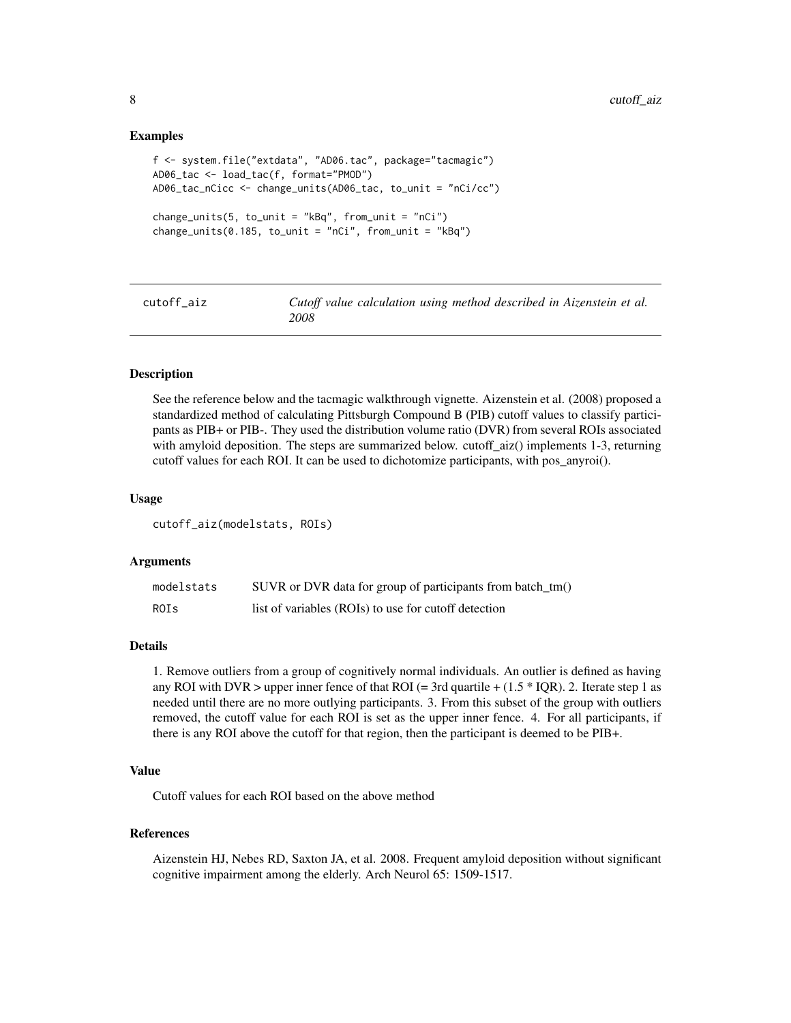#### Examples

```
f <- system.file("extdata", "AD06.tac", package="tacmagic")
AD06_tac <- load_tac(f, format="PMOD")
AD06_tac_nCicc <- change_units(AD06_tac, to_unit = "nCi/cc")
change\_units(5, to\_unit = "kBq", from\_unit = "nCi")change\_units(0.185, to\_unit = "nCi", from\_unit = "kBq")
```
<span id="page-7-1"></span>cutoff\_aiz *Cutoff value calculation using method described in Aizenstein et al. 2008*

#### Description

See the reference below and the tacmagic walkthrough vignette. Aizenstein et al. (2008) proposed a standardized method of calculating Pittsburgh Compound B (PIB) cutoff values to classify participants as PIB+ or PIB-. They used the distribution volume ratio (DVR) from several ROIs associated with amyloid deposition. The steps are summarized below. cutoff\_aiz() implements 1-3, returning cutoff values for each ROI. It can be used to dichotomize participants, with pos\_anyroi().

#### Usage

cutoff\_aiz(modelstats, ROIs)

#### Arguments

| modelstats  | SUVR or DVR data for group of participants from batch_tm() |
|-------------|------------------------------------------------------------|
| <b>ROIS</b> | list of variables (ROIs) to use for cutoff detection       |

#### Details

1. Remove outliers from a group of cognitively normal individuals. An outlier is defined as having any ROI with DVR > upper inner fence of that ROI (= 3rd quartile +  $(1.5 * IQR)$ ). 2. Iterate step 1 as needed until there are no more outlying participants. 3. From this subset of the group with outliers removed, the cutoff value for each ROI is set as the upper inner fence. 4. For all participants, if there is any ROI above the cutoff for that region, then the participant is deemed to be PIB+.

### Value

Cutoff values for each ROI based on the above method

#### References

Aizenstein HJ, Nebes RD, Saxton JA, et al. 2008. Frequent amyloid deposition without significant cognitive impairment among the elderly. Arch Neurol 65: 1509-1517.

<span id="page-7-0"></span>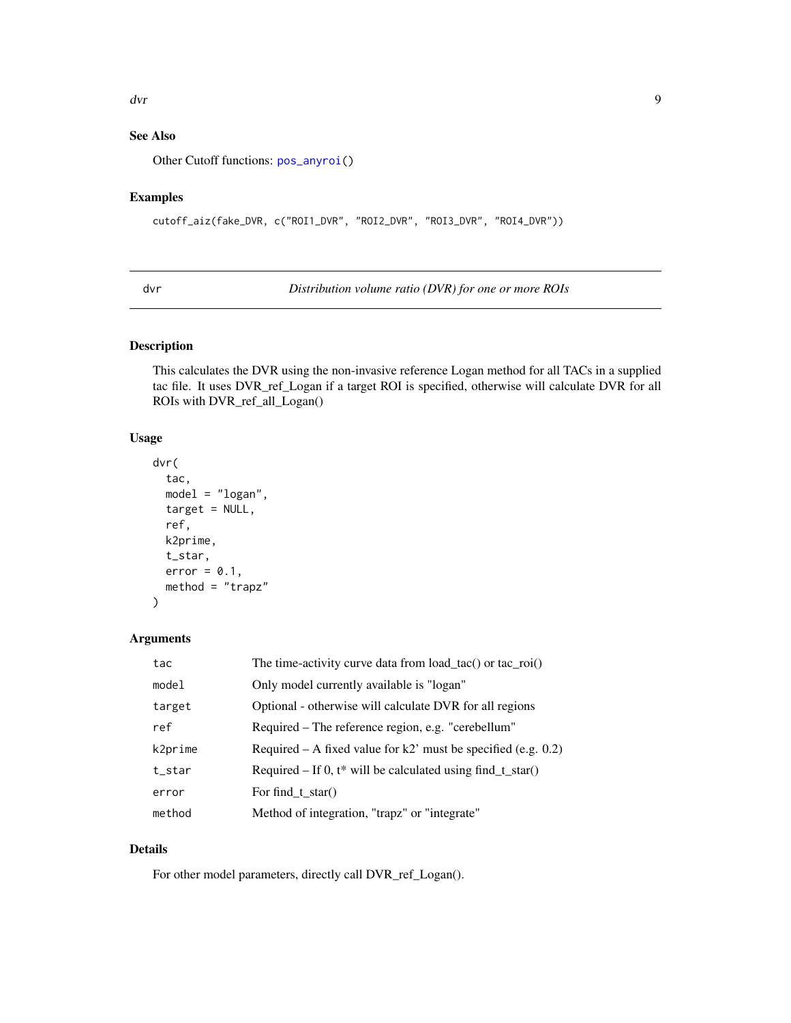#### <span id="page-8-0"></span>dvr de bro-se en de bro-se en de bro-se en de bro-se en de bro-se en de bro-se en de bro-se en de bro-se en de

# See Also

Other Cutoff functions: [pos\\_anyroi\(](#page-16-1))

# Examples

```
cutoff_aiz(fake_DVR, c("ROI1_DVR", "ROI2_DVR", "ROI3_DVR", "ROI4_DVR"))
```
<span id="page-8-1"></span>dvr *Distribution volume ratio (DVR) for one or more ROIs*

# Description

This calculates the DVR using the non-invasive reference Logan method for all TACs in a supplied tac file. It uses DVR\_ref\_Logan if a target ROI is specified, otherwise will calculate DVR for all ROIs with DVR\_ref\_all\_Logan()

#### Usage

```
dvr(
  tac,
 model = "logan",
 target = NULL,
  ref,
 k2prime,
  t_star,
 error = 0.1,
 method = "trapz")
```
# Arguments

| tac     | The time-activity curve data from load_tac() or tac_roi()        |
|---------|------------------------------------------------------------------|
| model   | Only model currently available is "logan"                        |
| target  | Optional - otherwise will calculate DVR for all regions          |
| ref     | Required – The reference region, e.g. "cerebellum"               |
| k2prime | Required – A fixed value for $k2$ ' must be specified (e.g. 0.2) |
| t_star  | Required – If 0, $t^*$ will be calculated using find $t_star()$  |
| error   | For find_t_star()                                                |
| method  | Method of integration, "trapz" or "integrate"                    |

# Details

For other model parameters, directly call DVR\_ref\_Logan().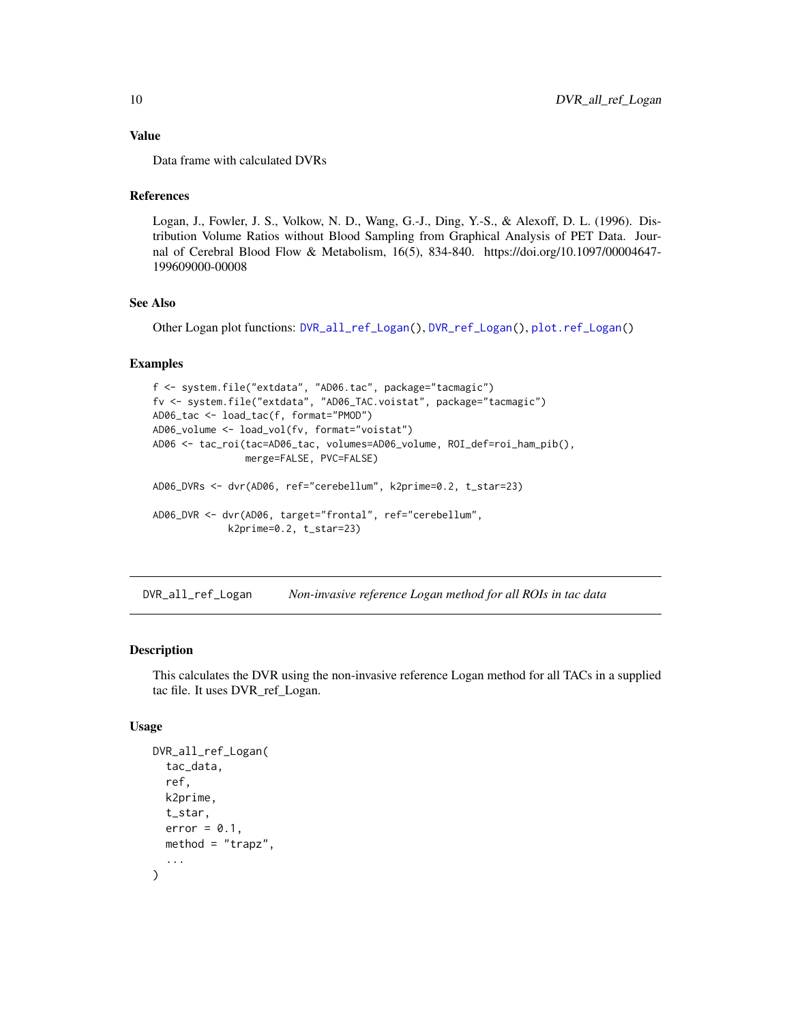# <span id="page-9-0"></span>Value

Data frame with calculated DVRs

# References

Logan, J., Fowler, J. S., Volkow, N. D., Wang, G.-J., Ding, Y.-S., & Alexoff, D. L. (1996). Distribution Volume Ratios without Blood Sampling from Graphical Analysis of PET Data. Journal of Cerebral Blood Flow & Metabolism, 16(5), 834-840. https://doi.org/10.1097/00004647- 199609000-00008

# See Also

Other Logan plot functions: [DVR\\_all\\_ref\\_Logan\(](#page-9-1)), [DVR\\_ref\\_Logan\(](#page-10-1)), [plot.ref\\_Logan\(](#page-15-1))

#### Examples

```
f <- system.file("extdata", "AD06.tac", package="tacmagic")
fv <- system.file("extdata", "AD06_TAC.voistat", package="tacmagic")
AD06_tac <- load_tac(f, format="PMOD")
AD06_volume <- load_vol(fv, format="voistat")
AD06 <- tac_roi(tac=AD06_tac, volumes=AD06_volume, ROI_def=roi_ham_pib(),
                merge=FALSE, PVC=FALSE)
AD06_DVRs <- dvr(AD06, ref="cerebellum", k2prime=0.2, t_star=23)
AD06_DVR <- dvr(AD06, target="frontal", ref="cerebellum",
             k2prime=0.2, t_star=23)
```
<span id="page-9-1"></span>DVR\_all\_ref\_Logan *Non-invasive reference Logan method for all ROIs in tac data*

#### Description

This calculates the DVR using the non-invasive reference Logan method for all TACs in a supplied tac file. It uses DVR\_ref\_Logan.

# Usage

```
DVR_all_ref_Logan(
  tac_data,
  ref,
  k2prime,
  t_star,
  error = 0.1,
 method = "trapz",...
)
```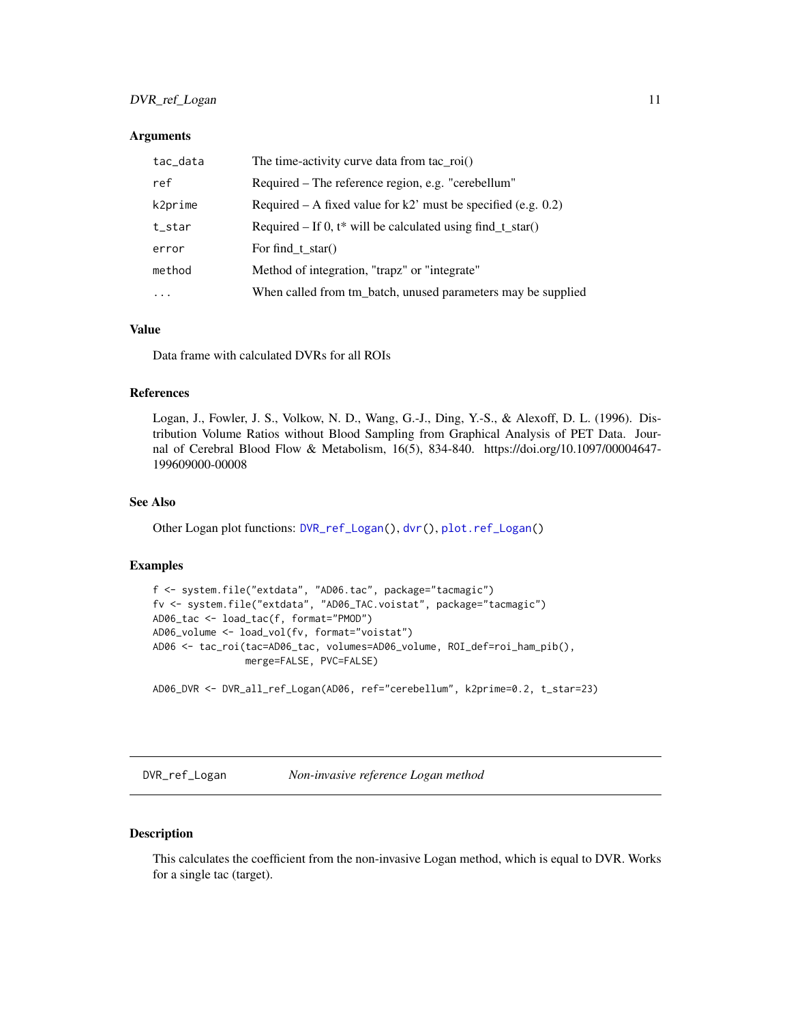# <span id="page-10-0"></span>DVR\_ref\_Logan 11

#### **Arguments**

| tac_data | The time-activity curve data from $tac\_roi()$                   |
|----------|------------------------------------------------------------------|
| ref      | Required – The reference region, e.g. "cerebellum"               |
| k2prime  | Required – A fixed value for k2' must be specified (e.g. $0.2$ ) |
| t_star   | Required – If 0, $t^*$ will be calculated using find_t_star()    |
| error    | For find $t$ star()                                              |
| method   | Method of integration, "trapz" or "integrate"                    |
| $\cdots$ | When called from tm_batch, unused parameters may be supplied     |

#### Value

Data frame with calculated DVRs for all ROIs

# References

Logan, J., Fowler, J. S., Volkow, N. D., Wang, G.-J., Ding, Y.-S., & Alexoff, D. L. (1996). Distribution Volume Ratios without Blood Sampling from Graphical Analysis of PET Data. Journal of Cerebral Blood Flow & Metabolism, 16(5), 834-840. https://doi.org/10.1097/00004647- 199609000-00008

# See Also

Other Logan plot functions: [DVR\\_ref\\_Logan\(](#page-10-1)), [dvr\(](#page-8-1)), [plot.ref\\_Logan\(](#page-15-1))

#### Examples

```
f <- system.file("extdata", "AD06.tac", package="tacmagic")
fv <- system.file("extdata", "AD06_TAC.voistat", package="tacmagic")
AD06_tac <- load_tac(f, format="PMOD")
AD06_volume <- load_vol(fv, format="voistat")
AD06 <- tac_roi(tac=AD06_tac, volumes=AD06_volume, ROI_def=roi_ham_pib(),
                merge=FALSE, PVC=FALSE)
```
AD06\_DVR <- DVR\_all\_ref\_Logan(AD06, ref="cerebellum", k2prime=0.2, t\_star=23)

<span id="page-10-1"></span>DVR\_ref\_Logan *Non-invasive reference Logan method*

#### Description

This calculates the coefficient from the non-invasive Logan method, which is equal to DVR. Works for a single tac (target).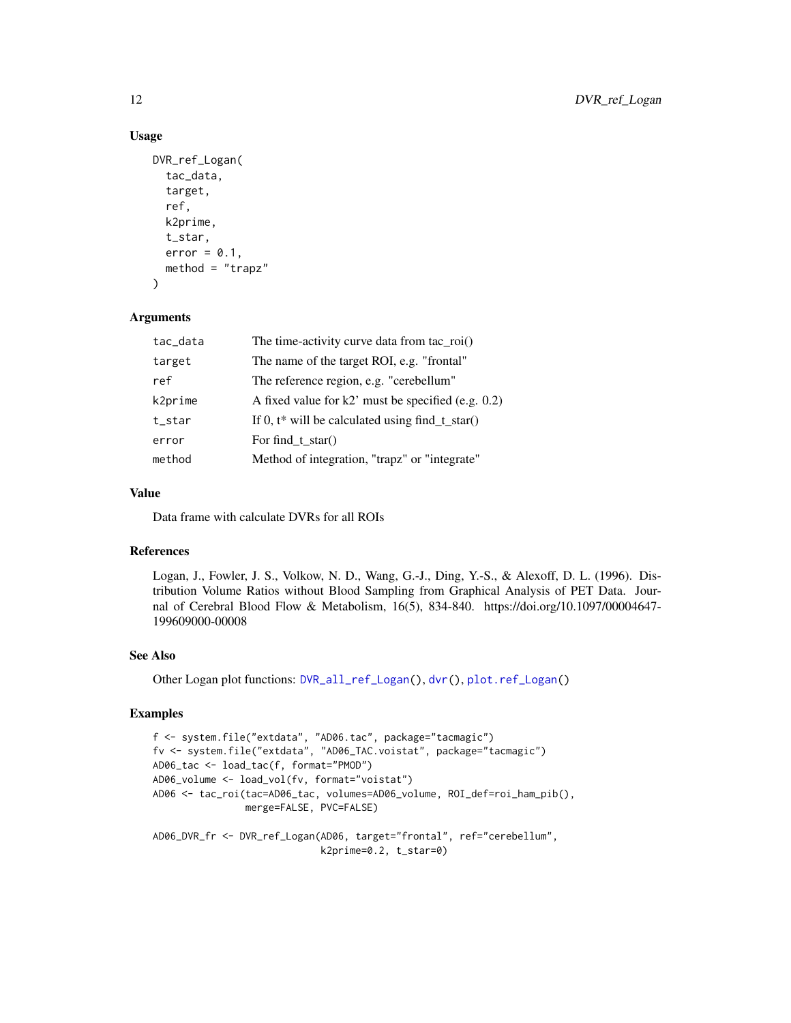# Usage

```
DVR_ref_Logan(
  tac_data,
  target,
  ref,
 k2prime,
  t_star,
 error = 0.1,
 method = "trapz")
```
# Arguments

| tac_data | The time-activity curve data from tac_roi()          |
|----------|------------------------------------------------------|
| target   | The name of the target ROI, e.g. "frontal"           |
| ref      | The reference region, e.g. "cerebellum"              |
| k2prime  | A fixed value for $k2$ must be specified (e.g. 0.2)  |
| t star   | If 0, $t^*$ will be calculated using find $t_star()$ |
| error    | For find_t_star()                                    |
| method   | Method of integration, "trapz" or "integrate"        |
|          |                                                      |

# Value

Data frame with calculate DVRs for all ROIs

# References

Logan, J., Fowler, J. S., Volkow, N. D., Wang, G.-J., Ding, Y.-S., & Alexoff, D. L. (1996). Distribution Volume Ratios without Blood Sampling from Graphical Analysis of PET Data. Journal of Cerebral Blood Flow & Metabolism, 16(5), 834-840. https://doi.org/10.1097/00004647- 199609000-00008

# See Also

Other Logan plot functions: [DVR\\_all\\_ref\\_Logan\(](#page-9-1)), [dvr\(](#page-8-1)), [plot.ref\\_Logan\(](#page-15-1))

# Examples

```
f <- system.file("extdata", "AD06.tac", package="tacmagic")
fv <- system.file("extdata", "AD06_TAC.voistat", package="tacmagic")
AD06_tac <- load_tac(f, format="PMOD")
AD06_volume <- load_vol(fv, format="voistat")
AD06 <- tac_roi(tac=AD06_tac, volumes=AD06_volume, ROI_def=roi_ham_pib(),
                merge=FALSE, PVC=FALSE)
AD06_DVR_fr <- DVR_ref_Logan(AD06, target="frontal", ref="cerebellum",
                             k2prime=0.2, t_star=0)
```
<span id="page-11-0"></span>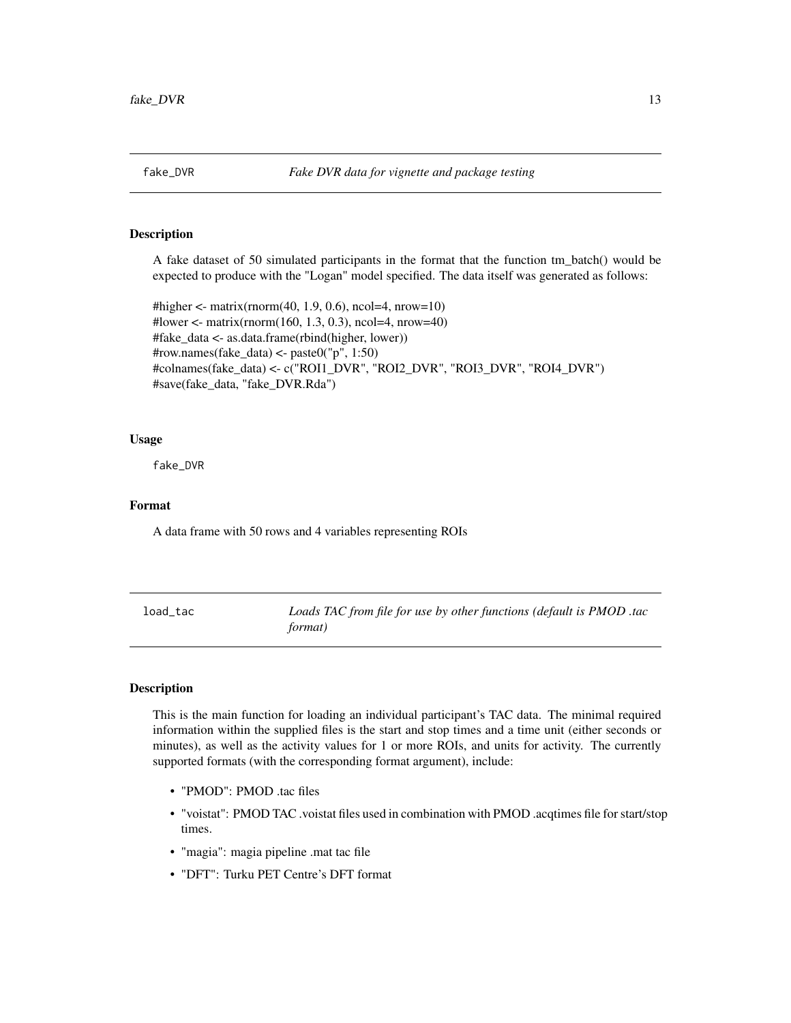<span id="page-12-0"></span>A fake dataset of 50 simulated participants in the format that the function tm\_batch() would be expected to produce with the "Logan" model specified. The data itself was generated as follows:

#higher <- matrix(rnorm(40, 1.9, 0.6), ncol=4, nrow=10) #lower <- matrix(rnorm(160, 1.3, 0.3), ncol=4, nrow=40) #fake\_data <- as.data.frame(rbind(higher, lower)) #row.names(fake\_data) <- paste0("p", 1:50) #colnames(fake\_data) <- c("ROI1\_DVR", "ROI2\_DVR", "ROI3\_DVR", "ROI4\_DVR") #save(fake\_data, "fake\_DVR.Rda")

#### Usage

fake\_DVR

# Format

A data frame with 50 rows and 4 variables representing ROIs

<span id="page-12-1"></span>load\_tac *Loads TAC from file for use by other functions (default is PMOD .tac format)*

# Description

This is the main function for loading an individual participant's TAC data. The minimal required information within the supplied files is the start and stop times and a time unit (either seconds or minutes), as well as the activity values for 1 or more ROIs, and units for activity. The currently supported formats (with the corresponding format argument), include:

- "PMOD": PMOD .tac files
- "voistat": PMOD TAC .voistat files used in combination with PMOD .acqtimes file for start/stop times.
- "magia": magia pipeline .mat tac file
- "DFT": Turku PET Centre's DFT format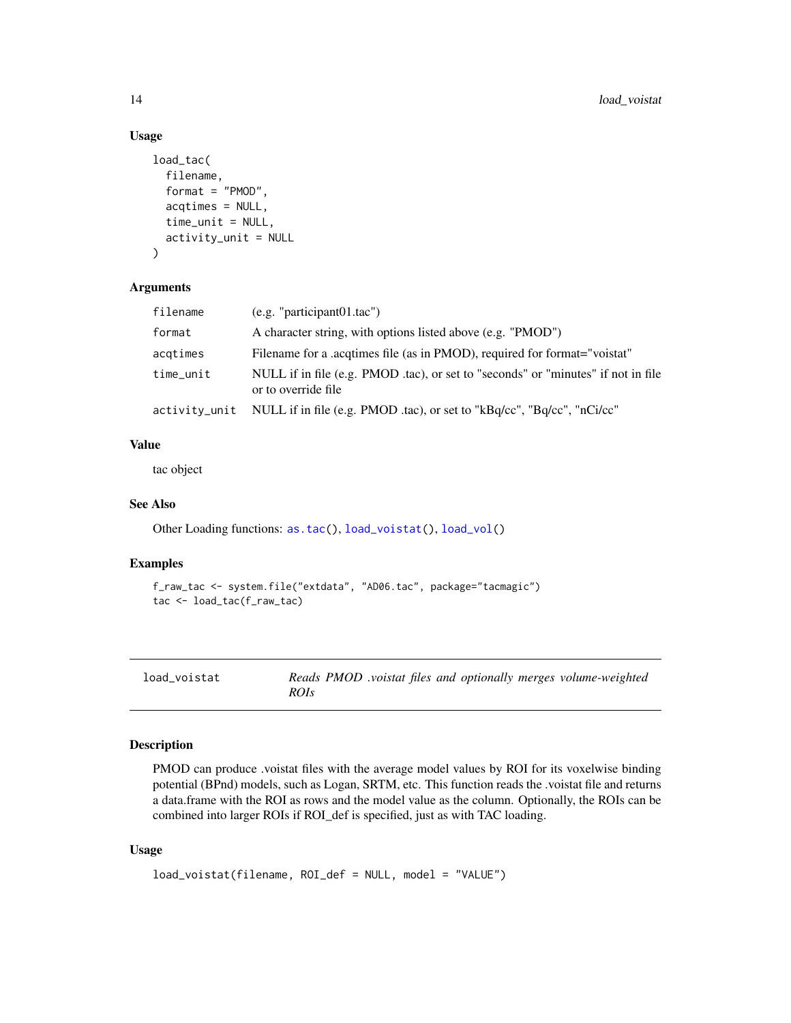# Usage

```
load_tac(
  filename,
  format = "PMOD",
  acqtimes = NULL,
  time_unit = NULL,
  activity_unit = NULL
)
```
# Arguments

| filename  | (e.g. "participant01.tac")                                                                               |
|-----------|----------------------------------------------------------------------------------------------------------|
| format    | A character string, with options listed above (e.g. "PMOD")                                              |
| acqtimes  | Filename for a acquimes file (as in PMOD), required for format="voistat"                                 |
| time_unit | NULL if in file (e.g. PMOD .tac), or set to "seconds" or "minutes" if not in file<br>or to override file |
|           | activity_unit    NULL if in file (e.g. PMOD .tac), or set to "kBq/cc", "Bq/cc", "nCi/cc"                 |

# Value

tac object

# See Also

Other Loading functions: [as.tac\(](#page-2-1)), [load\\_voistat\(](#page-13-1)), [load\\_vol\(](#page-14-1))

# Examples

```
f_raw_tac <- system.file("extdata", "AD06.tac", package="tacmagic")
tac <- load_tac(f_raw_tac)
```
<span id="page-13-1"></span>

| load_voistat | Reads PMOD .voistat files and optionally merges volume-weighted |
|--------------|-----------------------------------------------------------------|
|              | ROIs                                                            |

# Description

PMOD can produce .voistat files with the average model values by ROI for its voxelwise binding potential (BPnd) models, such as Logan, SRTM, etc. This function reads the .voistat file and returns a data.frame with the ROI as rows and the model value as the column. Optionally, the ROIs can be combined into larger ROIs if ROI\_def is specified, just as with TAC loading.

#### Usage

```
load_voistat(filename, ROI_def = NULL, model = "VALUE")
```
<span id="page-13-0"></span>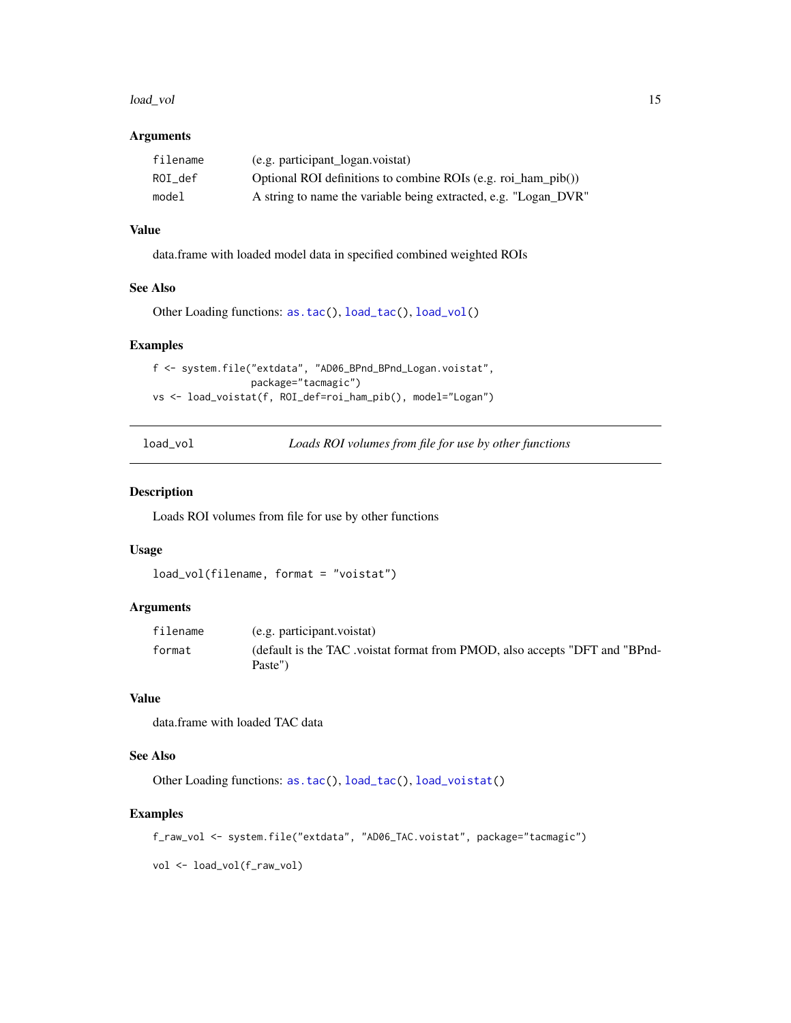#### <span id="page-14-0"></span>load\_vol 15

# Arguments

| filename | (e.g. participant_logan.voistat)                                |
|----------|-----------------------------------------------------------------|
| ROI def  | Optional ROI definitions to combine ROIs (e.g. roi_ham_pib())   |
| model    | A string to name the variable being extracted, e.g. "Logan_DVR" |

# Value

data.frame with loaded model data in specified combined weighted ROIs

# See Also

```
Other Loading functions: as.tac(), load_tac(), load_vol()
```
#### Examples

```
f <- system.file("extdata", "AD06_BPnd_BPnd_Logan.voistat",
                 package="tacmagic")
vs <- load_voistat(f, ROI_def=roi_ham_pib(), model="Logan")
```
<span id="page-14-1"></span>load\_vol *Loads ROI volumes from file for use by other functions*

# Description

Loads ROI volumes from file for use by other functions

# Usage

```
load_vol(filename, format = "voistat")
```
# Arguments

| filename | (e.g. participant.voistat)                                                            |
|----------|---------------------------------------------------------------------------------------|
| format   | (default is the TAC voistat format from PMOD, also accepts "DFT and "BPnd-<br>Paste") |

#### Value

data.frame with loaded TAC data

## See Also

Other Loading functions: [as.tac\(](#page-2-1)), [load\\_tac\(](#page-12-1)), [load\\_voistat\(](#page-13-1))

#### Examples

```
f_raw_vol <- system.file("extdata", "AD06_TAC.voistat", package="tacmagic")
```
vol <- load\_vol(f\_raw\_vol)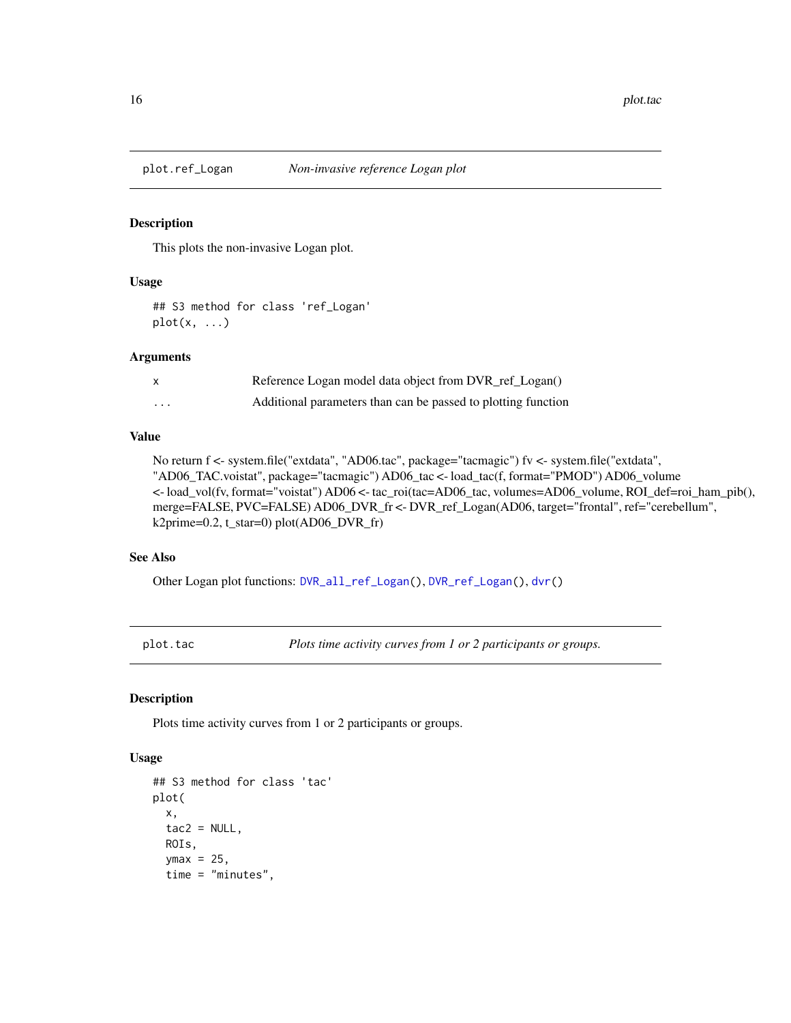<span id="page-15-1"></span><span id="page-15-0"></span>

This plots the non-invasive Logan plot.

# Usage

```
## S3 method for class 'ref_Logan'
plot(x, \ldots)
```
#### Arguments

|         | Reference Logan model data object from DVR_ref_Logan()        |
|---------|---------------------------------------------------------------|
| $\cdot$ | Additional parameters than can be passed to plotting function |

#### Value

```
No return f <- system.file("extdata", "AD06.tac", package="tacmagic") fv <- system.file("extdata",
"AD06_TAC.voistat", package="tacmagic") AD06_tac <- load_tac(f, format="PMOD") AD06_volume
<- load_vol(fv, format="voistat") AD06 <- tac_roi(tac=AD06_tac, volumes=AD06_volume, ROI_def=roi_ham_pib(),
merge=FALSE, PVC=FALSE) AD06_DVR_fr <- DVR_ref_Logan(AD06, target="frontal", ref="cerebellum",
k2prime=0.2, t_star=0) plot(AD06_DVR_fr)
```
# See Also

Other Logan plot functions: [DVR\\_all\\_ref\\_Logan\(](#page-9-1)), [DVR\\_ref\\_Logan\(](#page-10-1)), [dvr\(](#page-8-1))

<span id="page-15-2"></span>plot.tac *Plots time activity curves from 1 or 2 participants or groups.*

# Description

Plots time activity curves from 1 or 2 participants or groups.

#### Usage

```
## S3 method for class 'tac'
plot(
  x,
  tac2 = NULL,
 ROIs,
  ymax = 25,
  time = "minutes",
```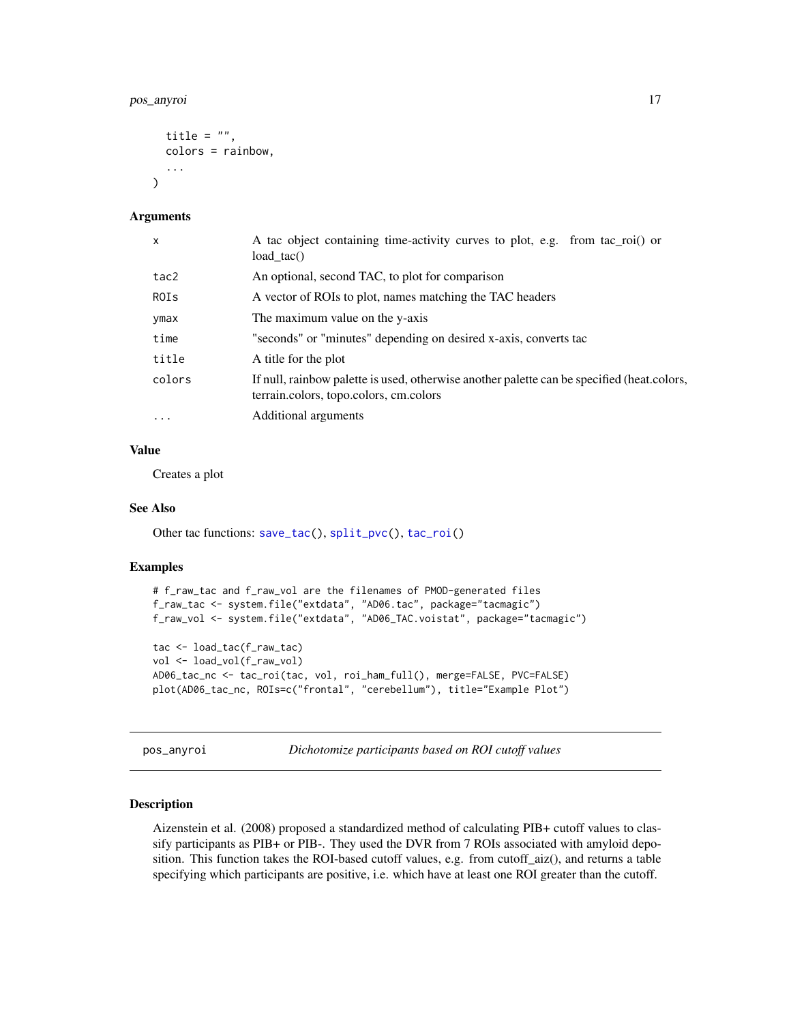# <span id="page-16-0"></span>pos\_anyroi 17

```
title = ",
  colors = rainbow,
  ...
\lambda
```
#### Arguments

| $\mathsf{x}$ | A tac object containing time-activity curves to plot, e.g. from tac_roi() or<br>load $tac()$                                         |
|--------------|--------------------------------------------------------------------------------------------------------------------------------------|
| tac2         | An optional, second TAC, to plot for comparison                                                                                      |
| ROIs         | A vector of ROIs to plot, names matching the TAC headers                                                                             |
| ymax         | The maximum value on the y-axis                                                                                                      |
| time         | "seconds" or "minutes" depending on desired x-axis, converts tac                                                                     |
| title        | A title for the plot                                                                                                                 |
| colors       | If null, rainbow palette is used, otherwise another palette can be specified (heat.colors,<br>terrain.colors, topo.colors, cm.colors |
| $\ddotsc$    | Additional arguments                                                                                                                 |

#### Value

Creates a plot

#### See Also

Other tac functions: [save\\_tac\(](#page-20-1)), [split\\_pvc\(](#page-21-1)), [tac\\_roi\(](#page-24-1))

# Examples

```
# f_raw_tac and f_raw_vol are the filenames of PMOD-generated files
f_raw_tac <- system.file("extdata", "AD06.tac", package="tacmagic")
f_raw_vol <- system.file("extdata", "AD06_TAC.voistat", package="tacmagic")
tac <- load_tac(f_raw_tac)
vol <- load_vol(f_raw_vol)
AD06_tac_nc <- tac_roi(tac, vol, roi_ham_full(), merge=FALSE, PVC=FALSE)
plot(AD06_tac_nc, ROIs=c("frontal", "cerebellum"), title="Example Plot")
```
<span id="page-16-1"></span>pos\_anyroi *Dichotomize participants based on ROI cutoff values*

## Description

Aizenstein et al. (2008) proposed a standardized method of calculating PIB+ cutoff values to classify participants as PIB+ or PIB-. They used the DVR from 7 ROIs associated with amyloid deposition. This function takes the ROI-based cutoff values, e.g. from cutoff\_aiz(), and returns a table specifying which participants are positive, i.e. which have at least one ROI greater than the cutoff.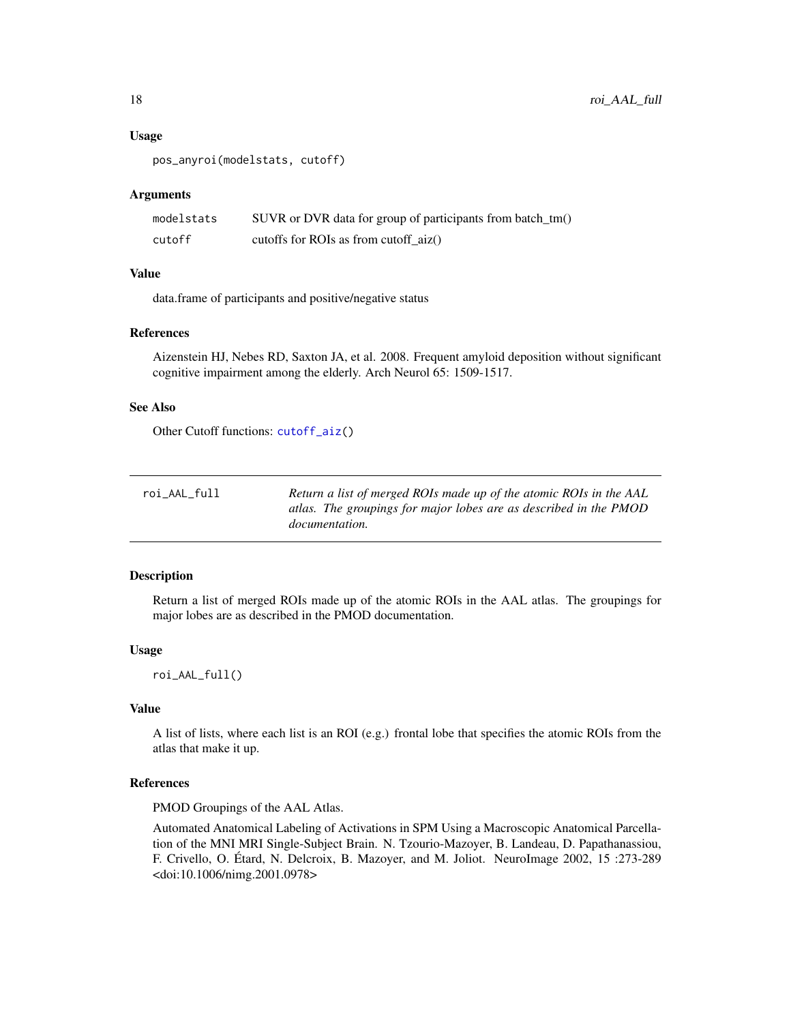#### Usage

```
pos_anyroi(modelstats, cutoff)
```
#### Arguments

| modelstats | SUVR or DVR data for group of participants from batch_tm() |
|------------|------------------------------------------------------------|
| cutoff     | cutoffs for ROIs as from cutoff $aiz()$                    |

# Value

data.frame of participants and positive/negative status

# References

Aizenstein HJ, Nebes RD, Saxton JA, et al. 2008. Frequent amyloid deposition without significant cognitive impairment among the elderly. Arch Neurol 65: 1509-1517.

# See Also

Other Cutoff functions: [cutoff\\_aiz\(](#page-7-1))

<span id="page-17-1"></span>

| roi_AAL_full | Return a list of merged ROIs made up of the atomic ROIs in the AAL |
|--------------|--------------------------------------------------------------------|
|              | atlas. The groupings for major lobes are as described in the PMOD  |
|              | <i>documentation.</i>                                              |

# Description

Return a list of merged ROIs made up of the atomic ROIs in the AAL atlas. The groupings for major lobes are as described in the PMOD documentation.

#### Usage

roi\_AAL\_full()

# Value

A list of lists, where each list is an ROI (e.g.) frontal lobe that specifies the atomic ROIs from the atlas that make it up.

#### References

PMOD Groupings of the AAL Atlas.

Automated Anatomical Labeling of Activations in SPM Using a Macroscopic Anatomical Parcellation of the MNI MRI Single-Subject Brain. N. Tzourio-Mazoyer, B. Landeau, D. Papathanassiou, F. Crivello, O. Étard, N. Delcroix, B. Mazoyer, and M. Joliot. NeuroImage 2002, 15 :273-289 <doi:10.1006/nimg.2001.0978>

<span id="page-17-0"></span>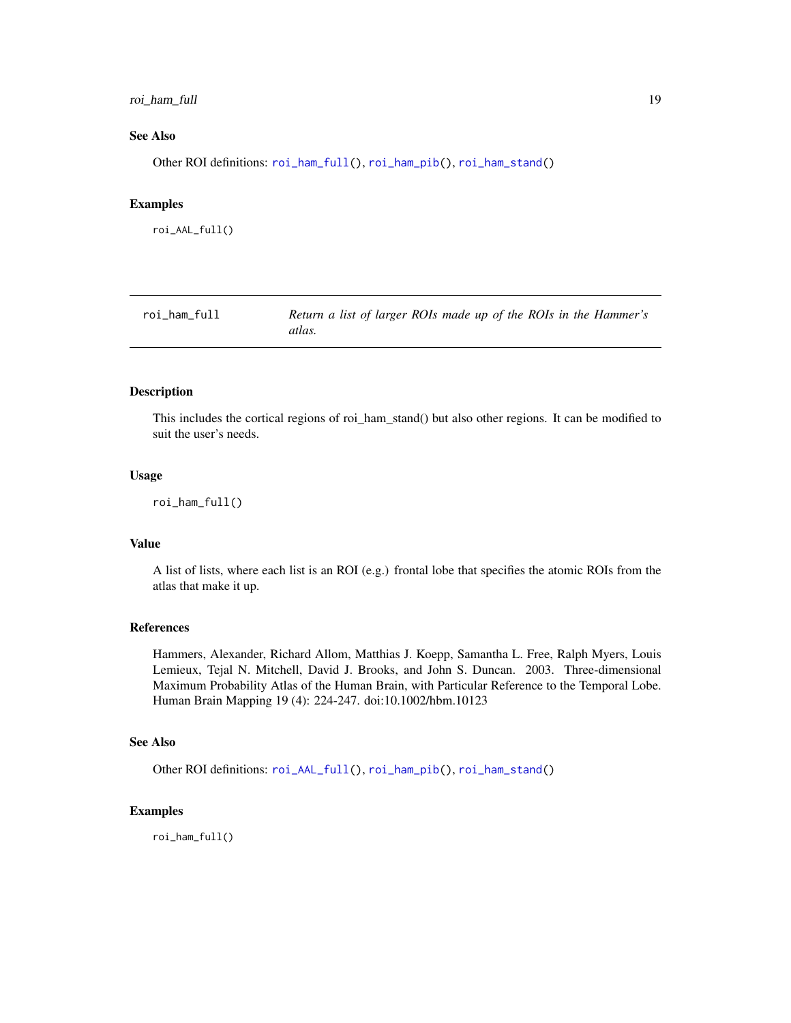# <span id="page-18-0"></span>roi\_ham\_full 19

# See Also

Other ROI definitions: [roi\\_ham\\_full\(](#page-18-1)), [roi\\_ham\\_pib\(](#page-19-1)), [roi\\_ham\\_stand\(](#page-19-2))

#### Examples

roi\_AAL\_full()

<span id="page-18-1"></span>

| roi_ham_full | Return a list of larger ROIs made up of the ROIs in the Hammer's |
|--------------|------------------------------------------------------------------|
|              | atlas.                                                           |

# Description

This includes the cortical regions of roi\_ham\_stand() but also other regions. It can be modified to suit the user's needs.

# Usage

roi\_ham\_full()

# Value

A list of lists, where each list is an ROI (e.g.) frontal lobe that specifies the atomic ROIs from the atlas that make it up.

#### References

Hammers, Alexander, Richard Allom, Matthias J. Koepp, Samantha L. Free, Ralph Myers, Louis Lemieux, Tejal N. Mitchell, David J. Brooks, and John S. Duncan. 2003. Three-dimensional Maximum Probability Atlas of the Human Brain, with Particular Reference to the Temporal Lobe. Human Brain Mapping 19 (4): 224-247. doi:10.1002/hbm.10123

# See Also

Other ROI definitions: [roi\\_AAL\\_full\(](#page-17-1)), [roi\\_ham\\_pib\(](#page-19-1)), [roi\\_ham\\_stand\(](#page-19-2))

# Examples

roi\_ham\_full()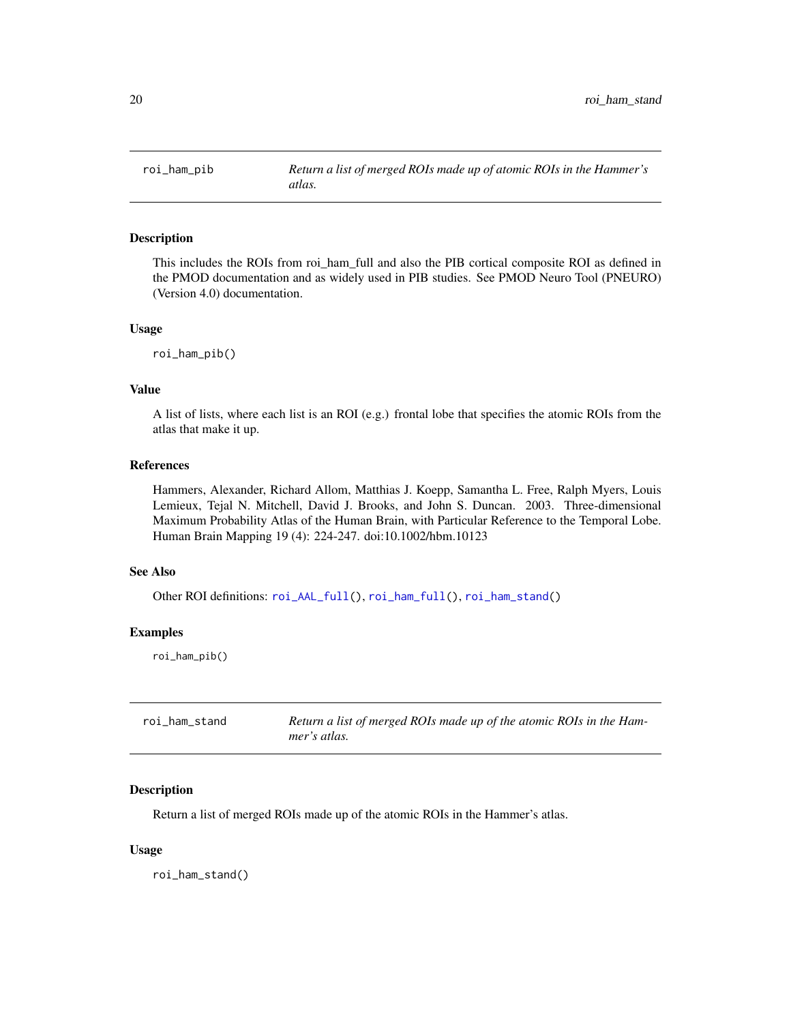<span id="page-19-1"></span><span id="page-19-0"></span>

This includes the ROIs from roi\_ham\_full and also the PIB cortical composite ROI as defined in the PMOD documentation and as widely used in PIB studies. See PMOD Neuro Tool (PNEURO) (Version 4.0) documentation.

#### Usage

roi\_ham\_pib()

# Value

A list of lists, where each list is an ROI (e.g.) frontal lobe that specifies the atomic ROIs from the atlas that make it up.

# References

Hammers, Alexander, Richard Allom, Matthias J. Koepp, Samantha L. Free, Ralph Myers, Louis Lemieux, Tejal N. Mitchell, David J. Brooks, and John S. Duncan. 2003. Three-dimensional Maximum Probability Atlas of the Human Brain, with Particular Reference to the Temporal Lobe. Human Brain Mapping 19 (4): 224-247. doi:10.1002/hbm.10123

# See Also

Other ROI definitions: [roi\\_AAL\\_full\(](#page-17-1)), [roi\\_ham\\_full\(](#page-18-1)), [roi\\_ham\\_stand\(](#page-19-2))

# Examples

roi\_ham\_pib()

<span id="page-19-2"></span>

| roi ham stand | Return a list of merged ROIs made up of the atomic ROIs in the Ham- |
|---------------|---------------------------------------------------------------------|
|               | mer's atlas.                                                        |

# Description

Return a list of merged ROIs made up of the atomic ROIs in the Hammer's atlas.

#### Usage

roi\_ham\_stand()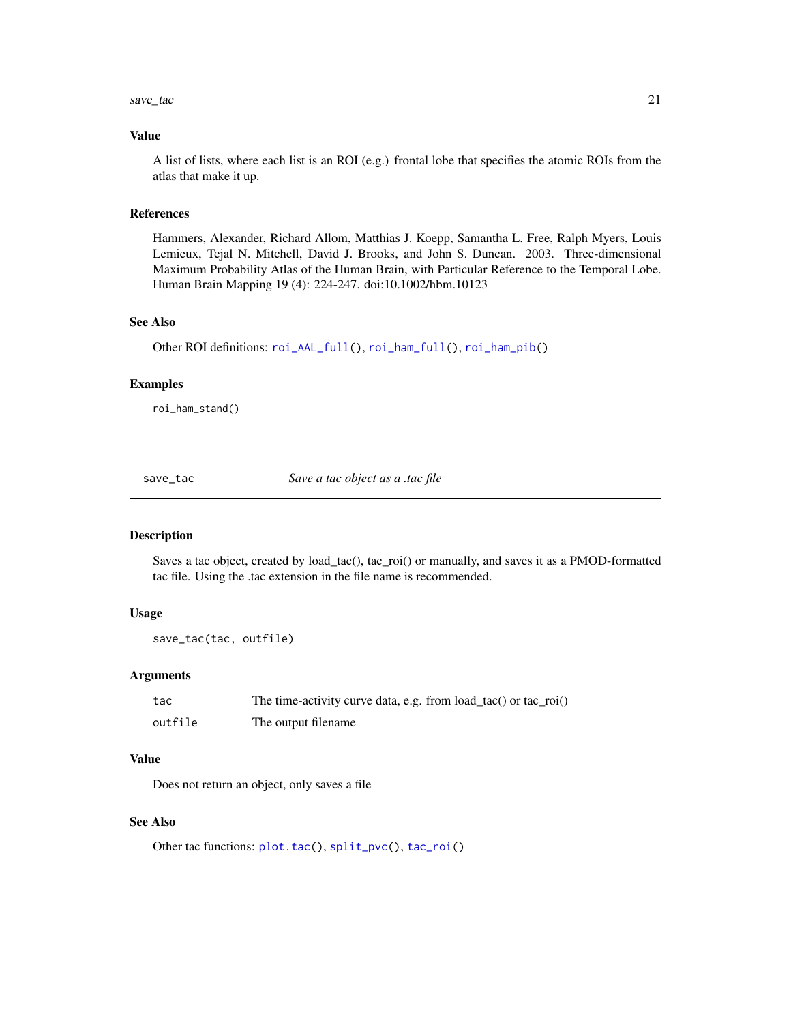#### <span id="page-20-0"></span> $save\_tac$  21

# Value

A list of lists, where each list is an ROI (e.g.) frontal lobe that specifies the atomic ROIs from the atlas that make it up.

#### References

Hammers, Alexander, Richard Allom, Matthias J. Koepp, Samantha L. Free, Ralph Myers, Louis Lemieux, Tejal N. Mitchell, David J. Brooks, and John S. Duncan. 2003. Three-dimensional Maximum Probability Atlas of the Human Brain, with Particular Reference to the Temporal Lobe. Human Brain Mapping 19 (4): 224-247. doi:10.1002/hbm.10123

# See Also

Other ROI definitions: [roi\\_AAL\\_full\(](#page-17-1)), [roi\\_ham\\_full\(](#page-18-1)), [roi\\_ham\\_pib\(](#page-19-1))

#### Examples

roi\_ham\_stand()

<span id="page-20-1"></span>save\_tac *Save a tac object as a .tac file*

#### Description

Saves a tac object, created by load\_tac(), tac\_roi() or manually, and saves it as a PMOD-formatted tac file. Using the .tac extension in the file name is recommended.

# Usage

```
save_tac(tac, outfile)
```
# Arguments

| tac     | The time-activity curve data, e.g. from $load\_tac()$ or $tac\_roi()$ |
|---------|-----------------------------------------------------------------------|
| outfile | The output filename                                                   |

# Value

Does not return an object, only saves a file

#### See Also

Other tac functions: [plot.tac\(](#page-15-2)), [split\\_pvc\(](#page-21-1)), [tac\\_roi\(](#page-24-1))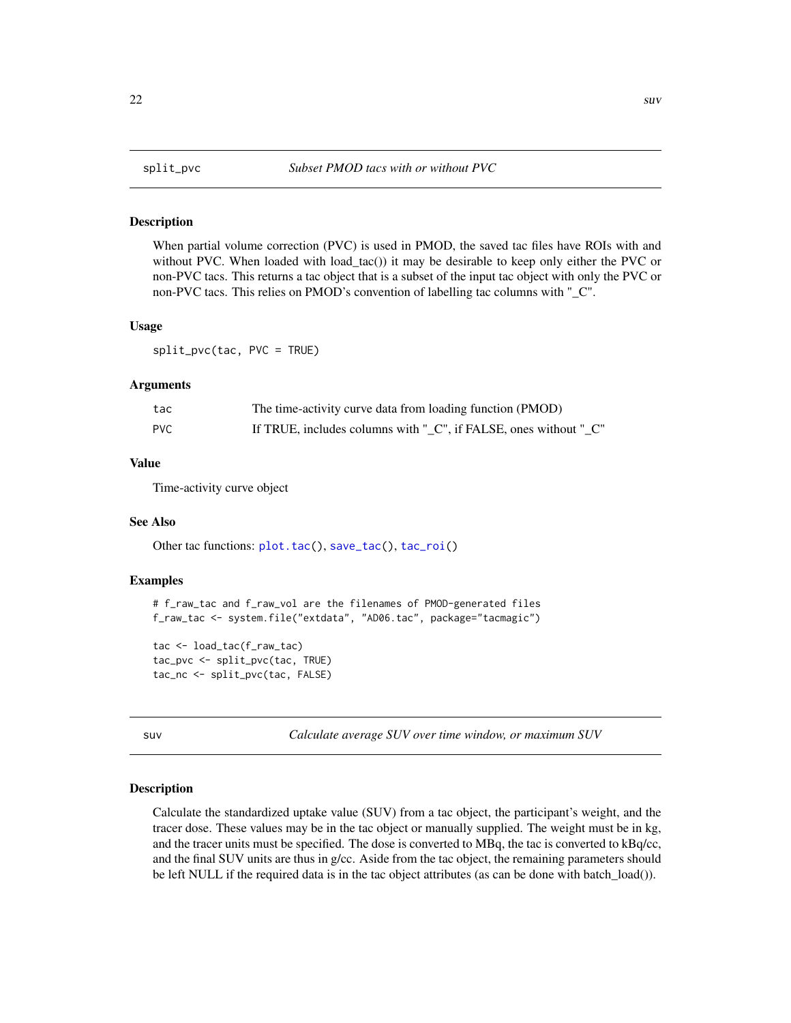<span id="page-21-1"></span><span id="page-21-0"></span>When partial volume correction (PVC) is used in PMOD, the saved tac files have ROIs with and without PVC. When loaded with load\_tac()) it may be desirable to keep only either the PVC or non-PVC tacs. This returns a tac object that is a subset of the input tac object with only the PVC or non-PVC tacs. This relies on PMOD's convention of labelling tac columns with "\_C".

#### Usage

split\_pvc(tac, PVC = TRUE)

#### Arguments

| tac        | The time-activity curve data from loading function (PMOD)        |
|------------|------------------------------------------------------------------|
| <b>PVC</b> | If TRUE, includes columns with " C", if FALSE, ones without " C" |

#### Value

Time-activity curve object

#### See Also

Other tac functions: [plot.tac\(](#page-15-2)), [save\\_tac\(](#page-20-1)), [tac\\_roi\(](#page-24-1))

# Examples

# f\_raw\_tac and f\_raw\_vol are the filenames of PMOD-generated files f\_raw\_tac <- system.file("extdata", "AD06.tac", package="tacmagic")

tac <- load\_tac(f\_raw\_tac) tac\_pvc <- split\_pvc(tac, TRUE) tac\_nc <- split\_pvc(tac, FALSE)

<span id="page-21-2"></span>suv *Calculate average SUV over time window, or maximum SUV*

#### Description

Calculate the standardized uptake value (SUV) from a tac object, the participant's weight, and the tracer dose. These values may be in the tac object or manually supplied. The weight must be in kg, and the tracer units must be specified. The dose is converted to MBq, the tac is converted to kBq/cc, and the final SUV units are thus in g/cc. Aside from the tac object, the remaining parameters should be left NULL if the required data is in the tac object attributes (as can be done with batch\_load()).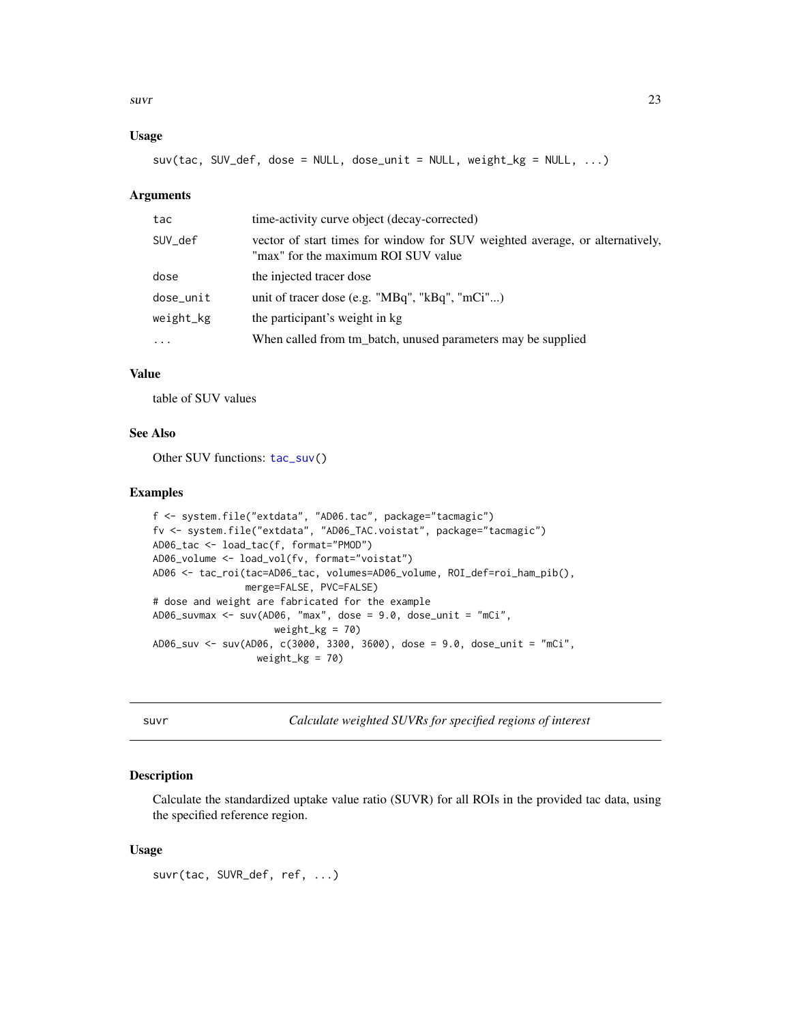<span id="page-22-0"></span> $s$ uvr $\frac{23}{2}$ 

# Usage

suv(tac, SUV\_def, dose = NULL, dose\_unit = NULL, weight\_kg = NULL, ...)

### Arguments

| tac        | time-activity curve object (decay-corrected)                                                                        |
|------------|---------------------------------------------------------------------------------------------------------------------|
| SUV def    | vector of start times for window for SUV weighted average, or alternatively,<br>"max" for the maximum ROI SUV value |
| dose       | the injected tracer dose                                                                                            |
| dose_unit  | unit of tracer dose (e.g. " $MBq$ ", " $kBq$ ", " $mCi$ ")                                                          |
| weight_kg  | the participant's weight in kg.                                                                                     |
| $\ddots$ . | When called from tm_batch, unused parameters may be supplied                                                        |

#### Value

table of SUV values

# See Also

Other SUV functions: [tac\\_suv\(](#page-25-1))

#### Examples

```
f <- system.file("extdata", "AD06.tac", package="tacmagic")
fv <- system.file("extdata", "AD06_TAC.voistat", package="tacmagic")
AD06_tac <- load_tac(f, format="PMOD")
AD06_volume <- load_vol(fv, format="voistat")
AD06 <- tac_roi(tac=AD06_tac, volumes=AD06_volume, ROI_def=roi_ham_pib(),
                merge=FALSE, PVC=FALSE)
# dose and weight are fabricated for the example
AD06_suvmax <- suv(AD06, "max", dose = 9.0, dose_unit = "mCi",
                    weight_kg = 70)
AD06_suv <- suv(AD06, c(3000, 3300, 3600), dose = 9.0, dose_unit = "mCi",
                  weight_kg = 70
```
<span id="page-22-1"></span>suvr *Calculate weighted SUVRs for specified regions of interest*

# Description

Calculate the standardized uptake value ratio (SUVR) for all ROIs in the provided tac data, using the specified reference region.

#### Usage

suvr(tac, SUVR\_def, ref, ...)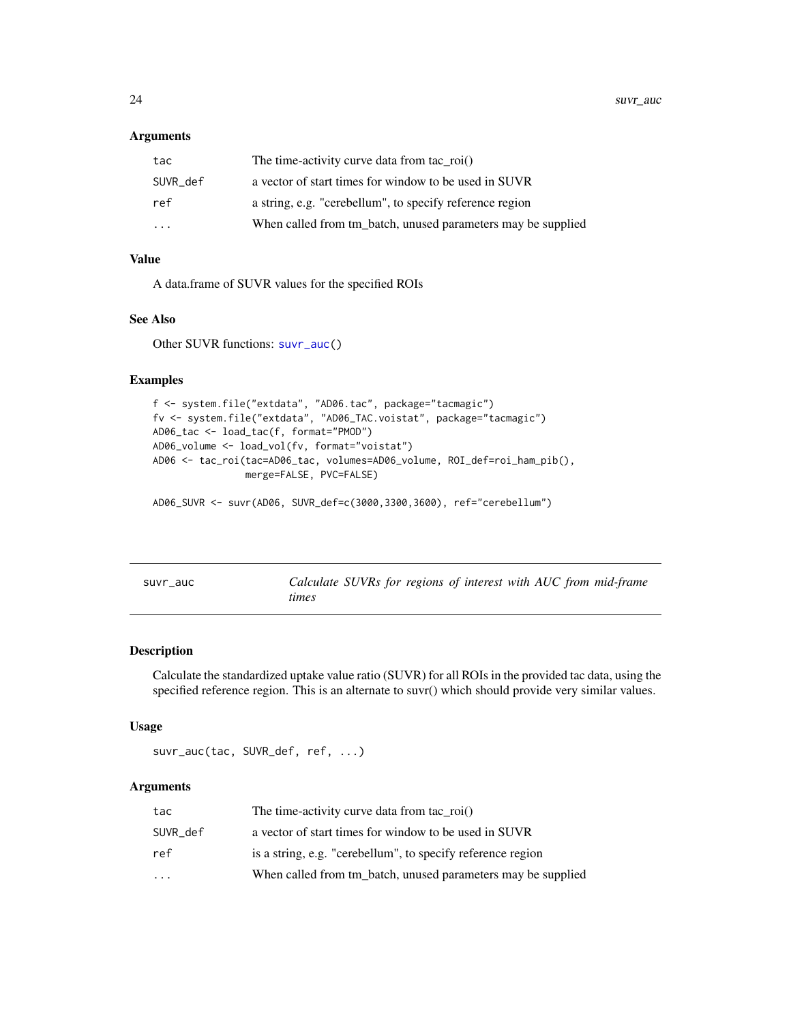#### <span id="page-23-0"></span>Arguments

| tac      | The time-activity curve data from tac $\text{roi}()$         |
|----------|--------------------------------------------------------------|
| SUVR def | a vector of start times for window to be used in SUVR        |
| ref      | a string, e.g. "cerebellum", to specify reference region     |
| $\cdot$  | When called from tm batch, unused parameters may be supplied |

### Value

A data.frame of SUVR values for the specified ROIs

# See Also

Other SUVR functions: [suvr\\_auc\(](#page-23-1))

# Examples

```
f <- system.file("extdata", "AD06.tac", package="tacmagic")
fv <- system.file("extdata", "AD06_TAC.voistat", package="tacmagic")
AD06_tac <- load_tac(f, format="PMOD")
AD06_volume <- load_vol(fv, format="voistat")
AD06 <- tac_roi(tac=AD06_tac, volumes=AD06_volume, ROI_def=roi_ham_pib(),
                merge=FALSE, PVC=FALSE)
```
AD06\_SUVR <- suvr(AD06, SUVR\_def=c(3000,3300,3600), ref="cerebellum")

<span id="page-23-1"></span>

| auc<br>suvr |  |
|-------------|--|
|-------------|--|

Calculate SUVRs for regions of interest with AUC from mid-frame *times*

#### Description

Calculate the standardized uptake value ratio (SUVR) for all ROIs in the provided tac data, using the specified reference region. This is an alternate to suvr() which should provide very similar values.

#### Usage

suvr\_auc(tac, SUVR\_def, ref, ...)

#### **Arguments**

| tac       | The time-activity curve data from tac $\text{roi}()$         |
|-----------|--------------------------------------------------------------|
| SUVR def  | a vector of start times for window to be used in SUVR        |
| ref       | is a string, e.g. "cerebellum", to specify reference region  |
| $\ddotsc$ | When called from tm batch, unused parameters may be supplied |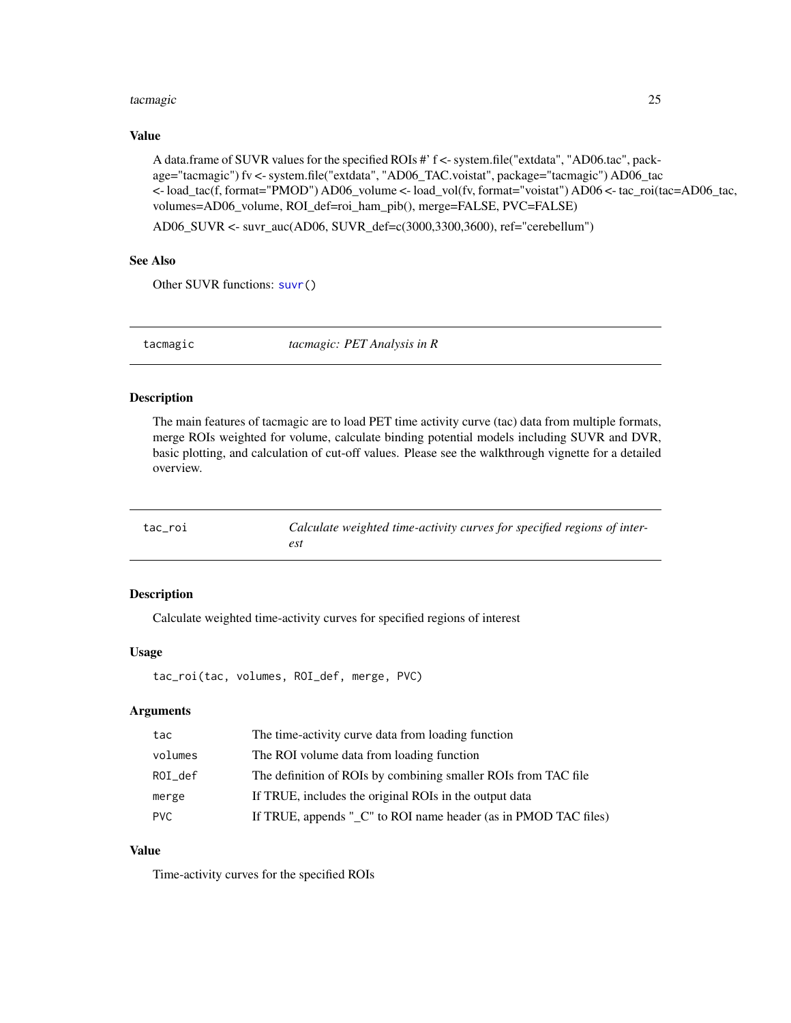#### <span id="page-24-0"></span>tacmagic 25

# Value

A data.frame of SUVR values for the specified ROIs #' f <- system.file("extdata", "AD06.tac", package="tacmagic") fv <- system.file("extdata", "AD06\_TAC.voistat", package="tacmagic") AD06\_tac <- load\_tac(f, format="PMOD") AD06\_volume <- load\_vol(fv, format="voistat") AD06 <- tac\_roi(tac=AD06\_tac, volumes=AD06\_volume, ROI\_def=roi\_ham\_pib(), merge=FALSE, PVC=FALSE)

AD06\_SUVR <- suvr\_auc(AD06, SUVR\_def=c(3000,3300,3600), ref="cerebellum")

# See Also

Other SUVR functions: [suvr\(](#page-22-1))

tacmagic *tacmagic: PET Analysis in R*

# Description

The main features of tacmagic are to load PET time activity curve (tac) data from multiple formats, merge ROIs weighted for volume, calculate binding potential models including SUVR and DVR, basic plotting, and calculation of cut-off values. Please see the walkthrough vignette for a detailed overview.

<span id="page-24-1"></span>

| tac_roi | Calculate weighted time-activity curves for specified regions of inter- |
|---------|-------------------------------------------------------------------------|
|         |                                                                         |

#### Description

Calculate weighted time-activity curves for specified regions of interest

# Usage

```
tac_roi(tac, volumes, ROI_def, merge, PVC)
```
# Arguments

| tac        | The time-activity curve data from loading function              |
|------------|-----------------------------------------------------------------|
| volumes    | The ROI volume data from loading function                       |
| ROI_def    | The definition of ROIs by combining smaller ROIs from TAC file  |
| merge      | If TRUE, includes the original ROIs in the output data          |
| <b>PVC</b> | If TRUE, appends " C" to ROI name header (as in PMOD TAC files) |

# Value

Time-activity curves for the specified ROIs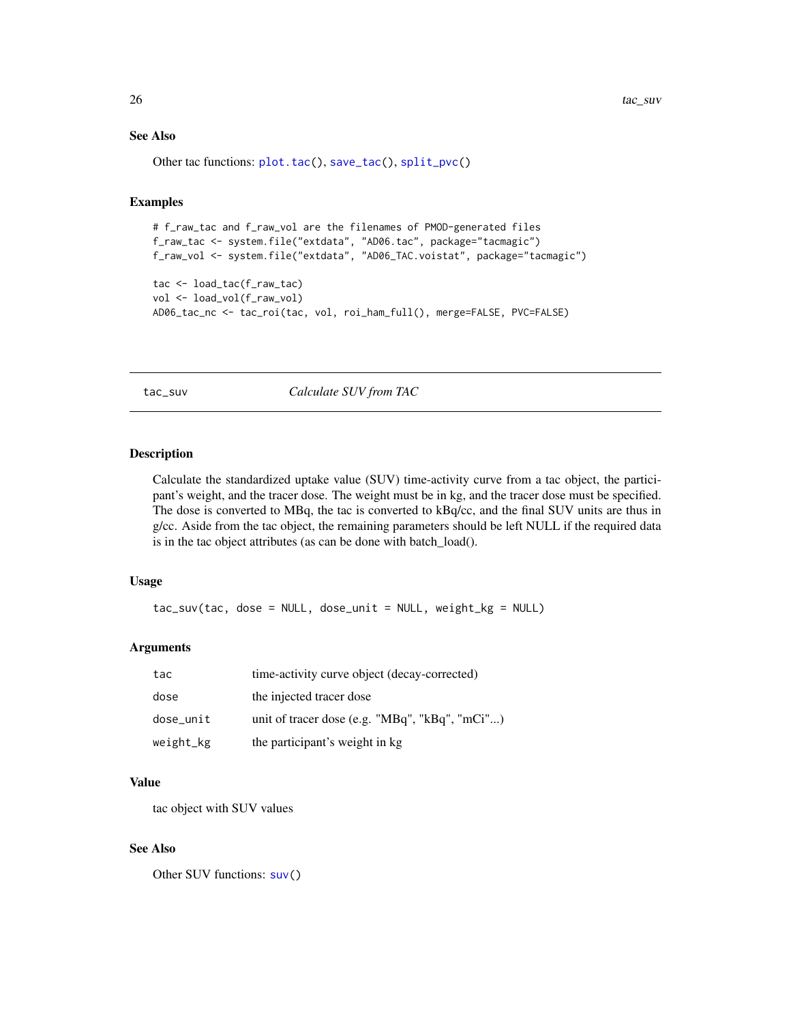$26$  tac\_suv

# See Also

Other tac functions: [plot.tac\(](#page-15-2)), [save\\_tac\(](#page-20-1)), [split\\_pvc\(](#page-21-1))

# Examples

```
# f_raw_tac and f_raw_vol are the filenames of PMOD-generated files
f_raw_tac <- system.file("extdata", "AD06.tac", package="tacmagic")
f_raw_vol <- system.file("extdata", "AD06_TAC.voistat", package="tacmagic")
tac <- load_tac(f_raw_tac)
vol <- load_vol(f_raw_vol)
AD06_tac_nc <- tac_roi(tac, vol, roi_ham_full(), merge=FALSE, PVC=FALSE)
```
<span id="page-25-1"></span>tac\_suv *Calculate SUV from TAC*

#### Description

Calculate the standardized uptake value (SUV) time-activity curve from a tac object, the participant's weight, and the tracer dose. The weight must be in kg, and the tracer dose must be specified. The dose is converted to MBq, the tac is converted to kBq/cc, and the final SUV units are thus in g/cc. Aside from the tac object, the remaining parameters should be left NULL if the required data is in the tac object attributes (as can be done with batch\_load().

# Usage

tac\_suv(tac, dose = NULL, dose\_unit = NULL, weight\_kg = NULL)

#### Arguments

| tac       | time-activity curve object (decay-corrected)               |
|-----------|------------------------------------------------------------|
| dose      | the injected tracer dose                                   |
| dose_unit | unit of tracer dose (e.g. " $MBq$ ", " $kBq$ ", " $mCi$ ") |
| weight_kg | the participant's weight in kg                             |

# Value

tac object with SUV values

#### See Also

Other SUV functions: [suv\(](#page-21-2))

<span id="page-25-0"></span>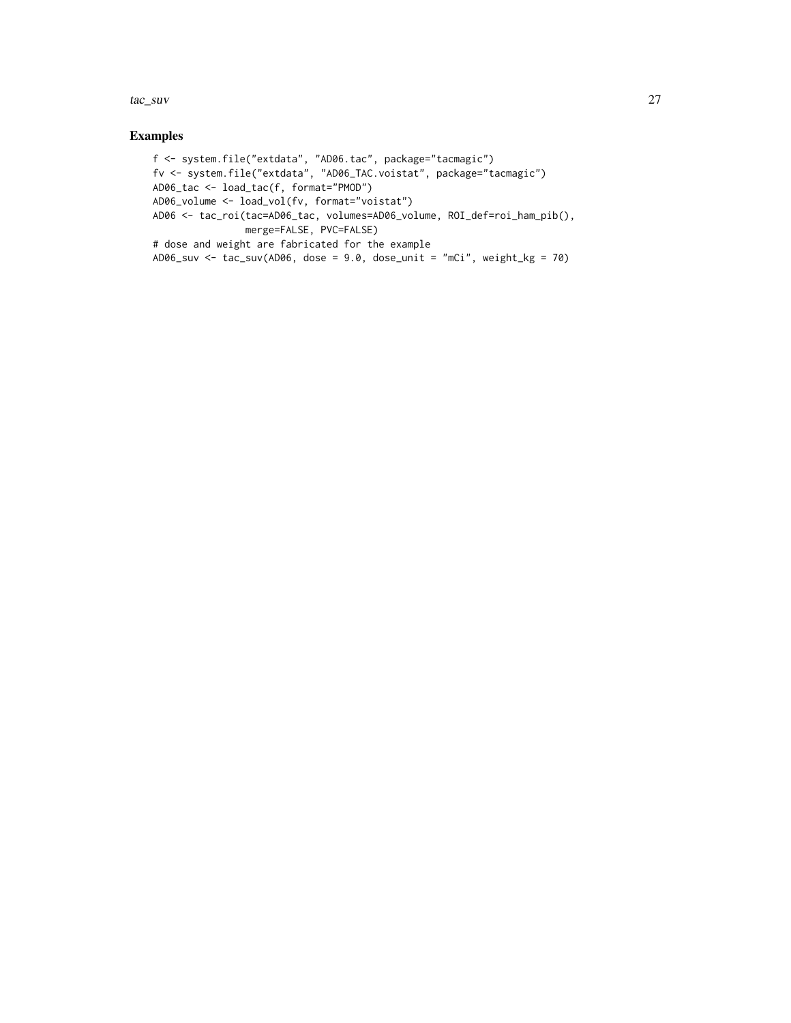tac\_suv 27

# Examples

```
f <- system.file("extdata", "AD06.tac", package="tacmagic")
fv <- system.file("extdata", "AD06_TAC.voistat", package="tacmagic")
AD06_tac <- load_tac(f, format="PMOD")
AD06_volume <- load_vol(fv, format="voistat")
AD06 <- tac_roi(tac=AD06_tac, volumes=AD06_volume, ROI_def=roi_ham_pib(),
               merge=FALSE, PVC=FALSE)
# dose and weight are fabricated for the example
AD06_suv <- tac_suv(AD06, dose = 9.0, dose_unit = "mCi", weight_kg = 70)
```